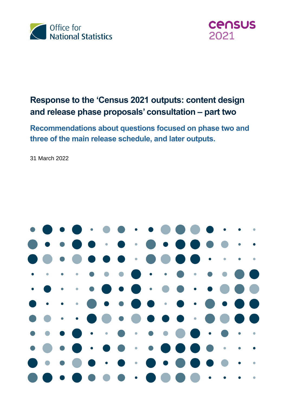



# **Response to the 'Census 2021 outputs: content design and release phase proposals' consultation – part two**

**Recommendations about questions focused on phase two and three of the main release schedule, and later outputs.**

31 March 2022

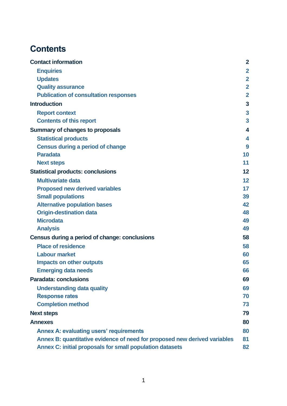# **Contents**

| <b>Contact information</b>                                                | $\mathbf{2}$       |
|---------------------------------------------------------------------------|--------------------|
| <b>Enquiries</b>                                                          | $\overline{2}$     |
| <b>Updates</b>                                                            | $\mathbf{2}$       |
| <b>Quality assurance</b>                                                  | $\overline{2}$     |
| <b>Publication of consultation responses</b>                              | $\overline{2}$     |
| <b>Introduction</b>                                                       | 3                  |
| <b>Report context</b>                                                     | $\mathbf{3}$       |
| <b>Contents of this report</b>                                            | 3                  |
| <b>Summary of changes to proposals</b>                                    | $\overline{\bf 4}$ |
| <b>Statistical products</b>                                               | 4                  |
| <b>Census during a period of change</b>                                   | 9                  |
| <b>Paradata</b>                                                           | 10                 |
| <b>Next steps</b>                                                         | 11                 |
| <b>Statistical products: conclusions</b>                                  | 12                 |
| <b>Multivariate data</b>                                                  | 12                 |
| <b>Proposed new derived variables</b>                                     | 17                 |
| <b>Small populations</b>                                                  | 39                 |
| <b>Alternative population bases</b>                                       | 42                 |
| <b>Origin-destination data</b>                                            | 48                 |
| <b>Microdata</b>                                                          | 49                 |
| <b>Analysis</b>                                                           | 49                 |
| Census during a period of change: conclusions                             | 58                 |
| <b>Place of residence</b>                                                 | 58                 |
| <b>Labour market</b>                                                      | 60                 |
| <b>Impacts on other outputs</b>                                           | 65                 |
| <b>Emerging data needs</b>                                                | 66                 |
| <b>Paradata: conclusions</b>                                              | 69                 |
| <b>Understanding data quality</b>                                         | 69                 |
| <b>Response rates</b>                                                     | 70                 |
| <b>Completion method</b>                                                  | 73                 |
| <b>Next steps</b>                                                         | 79                 |
| <b>Annexes</b>                                                            | 80                 |
| <b>Annex A: evaluating users' requirements</b>                            | 80                 |
| Annex B: quantitative evidence of need for proposed new derived variables | 81                 |
| Annex C: initial proposals for small population datasets                  | 82                 |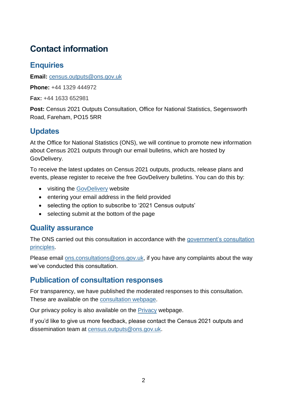# <span id="page-2-0"></span>**Contact information**

# <span id="page-2-1"></span>**Enquiries**

**Email:** [census.outputs@ons.gov.uk](mailto:census.outputs@ons.gov.uk)

**Phone:** +44 1329 444972

**Fax:** +44 1633 652981

**Post:** Census 2021 Outputs Consultation, Office for National Statistics, Segensworth Road, Fareham, PO15 5RR

# <span id="page-2-2"></span>**Updates**

At the Office for National Statistics (ONS), we will continue to promote new information about Census 2021 outputs through our email bulletins, which are hosted by GovDelivery.

To receive the latest updates on Census 2021 outputs, products, release plans and events, please register to receive the free GovDelivery bulletins. You can do this by:

- visiting the [GovDelivery](https://public.govdelivery.com/accounts/UKONS/subscribers/new) website
- entering your email address in the field provided
- selecting the option to subscribe to '2021 Census outputs'
- selecting submit at the bottom of the page

## <span id="page-2-3"></span>**Quality assurance**

The ONS carried out this consultation in accordance with the government's consultation [principles.](https://www.gov.uk/government/publications/consultation-principles-guidance.)

Please email [ons.consultations@ons.gov.uk,](mailto:ons.consultations@ons.gov.uk) if you have any complaints about the way we've conducted this consultation.

# <span id="page-2-4"></span>**Publication of consultation responses**

For transparency, we have published the moderated responses to this consultation. These are available on the [consultation webpage.](https://consultations.ons.gov.uk/external-affairs/census-2021-outputs-consultation)

Our privacy policy is also available on the **Privacy webpage**.

If you'd like to give us more feedback, please contact the Census 2021 outputs and dissemination team at [census.outputs@ons.gov.uk.](mailto:census.outputs@ons.gov.uk)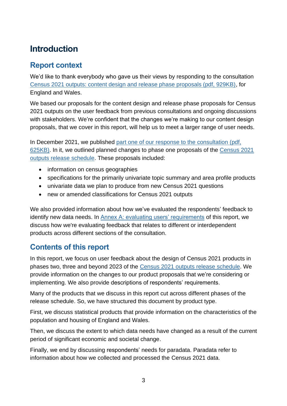# <span id="page-3-0"></span>**Introduction**

## <span id="page-3-1"></span>**Report context**

We'd like to thank everybody who gave us their views by responding to the consultation [Census 2021 outputs: content design and release phase proposals \(pdf, 929KB\),](https://consultations.ons.gov.uk/external-affairs/census-2021-outputs-consultation/supporting_documents/Consultation%20document%20%20Census%202021%20outputs%20design%20and%20release%20phase%20proposals.pdf) for England and Wales.

We based our proposals for the content design and release phase proposals for Census 2021 outputs on the user feedback from previous consultations and ongoing discussions with stakeholders. We're confident that the changes we're making to our content design proposals, that we cover in this report, will help us to meet a larger range of user needs.

In December 2021, we published [part one of our response to the consultation](https://consultations.ons.gov.uk/external-affairs/census-2021-outputs-consultation/results/census2021outputsconsultationresponse-partone.pdf) (pdf, [625KB\).](https://consultations.ons.gov.uk/external-affairs/census-2021-outputs-consultation/results/census2021outputsconsultationresponse-partone.pdf) In it, we outlined planned changes to phase one proposals of the [Census 2021](https://www.ons.gov.uk/census/censustransformationprogramme/census2021outputs/releaseplans)  [outputs release schedule.](https://www.ons.gov.uk/census/censustransformationprogramme/census2021outputs/releaseplans) These proposals included:

- information on census geographies
- specifications for the primarily univariate topic summary and area profile products
- univariate data we plan to produce from new Census 2021 questions
- new or amended classifications for Census 2021 outputs

We also provided information about how we've evaluated the respondents' feedback to identify new data needs. In [Annex A: evaluating users' requirements](#page-80-1) of this report, we discuss how we're evaluating feedback that relates to different or interdependent products across different sections of the consultation.

# <span id="page-3-2"></span>**Contents of this report**

In this report, we focus on user feedback about the design of Census 2021 products in phases two, three and beyond 2023 of the [Census 2021 outputs release schedule.](https://www.ons.gov.uk/census/censustransformationprogramme/census2021outputs/releaseplans) We provide information on the changes to our product proposals that we're considering or implementing. We also provide descriptions of respondents' requirements.

Many of the products that we discuss in this report cut across different phases of the release schedule. So, we have structured this document by product type.

First, we discuss statistical products that provide information on the characteristics of the population and housing of England and Wales.

Then, we discuss the extent to which data needs have changed as a result of the current period of significant economic and societal change.

Finally, we end by discussing respondents' needs for paradata. Paradata refer to information about how we collected and processed the Census 2021 data.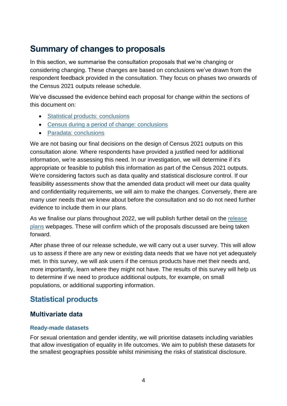# <span id="page-4-0"></span>**Summary of changes to proposals**

In this section, we summarise the consultation proposals that we're changing or considering changing. These changes are based on conclusions we've drawn from the respondent feedback provided in the consultation. They focus on phases two onwards of the Census 2021 outputs release schedule.

We've discussed the evidence behind each proposal for change within the sections of this document on:

- [Statistical products: conclusions](#page-12-0)
- [Census during a period of change:](#page-58-0) conclusions
- [Paradata: conclusions](#page-69-0)

We are not basing our final decisions on the design of Census 2021 outputs on this consultation alone. Where respondents have provided a justified need for additional information, we're assessing this need. In our investigation, we will determine if it's appropriate or feasible to publish this information as part of the Census 2021 outputs. We're considering factors such as data quality and statistical disclosure control. If our feasibility assessments show that the amended data product will meet our data quality and confidentiality requirements, we will aim to make the changes. Conversely, there are many user needs that we knew about before the consultation and so do not need further evidence to include them in our plans.

As we finalise our plans throughout 2022, we will publish further detail on the release [plans](https://www.ons.gov.uk/census/censustransformationprogramme/census2021outputs/releaseplans) webpages. These will confirm which of the proposals discussed are being taken forward.

After phase three of our release schedule, we will carry out a user survey. This will allow us to assess if there are any new or existing data needs that we have not yet adequately met. In this survey, we will ask users if the census products have met their needs and, more importantly, learn where they might not have. The results of this survey will help us to determine if we need to produce additional outputs, for example, on small populations, or additional supporting information.

# <span id="page-4-1"></span>**Statistical products**

### **Multivariate data**

#### **Ready-made datasets**

For sexual orientation and gender identity, we will prioritise datasets including variables that allow investigation of equality in life outcomes. We aim to publish these datasets for the smallest geographies possible whilst minimising the risks of statistical disclosure.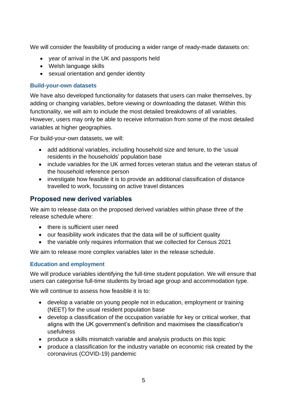We will consider the feasibility of producing a wider range of ready-made datasets on:

- year of arrival in the UK and passports held
- Welsh language skills
- sexual orientation and gender identity

#### **Build-your-own datasets**

We have also developed functionality for datasets that users can make themselves, by adding or changing variables, before viewing or downloading the dataset. Within this functionality, we will aim to include the most detailed breakdowns of all variables. However, users may only be able to receive information from some of the most detailed variables at higher geographies.

For build-your-own datasets, we will:

- add additional variables, including household size and tenure, to the 'usual residents in the households' population base
- include variables for the UK armed forces veteran status and the veteran status of the household reference person
- investigate how feasible it is to provide an additional classification of distance travelled to work, focussing on active travel distances

### **Proposed new derived variables**

We aim to release data on the proposed derived variables within phase three of the release schedule where:

- there is sufficient user need
- our feasibility work indicates that the data will be of sufficient quality
- the variable only requires information that we collected for Census 2021

We aim to release more complex variables later in the release schedule.

#### **Education and employment**

We will produce variables identifying the full-time student population. We will ensure that users can categorise full-time students by broad age group and accommodation type.

We will continue to assess how feasible it is to:

- develop a variable on young people not in education, employment or training (NEET) for the usual resident population base
- develop a classification of the occupation variable for key or critical worker, that aligns with the UK government's definition and maximises the classification's usefulness
- produce a skills mismatch variable and analysis products on this topic
- produce a classification for the industry variable on economic risk created by the coronavirus (COVID-19) pandemic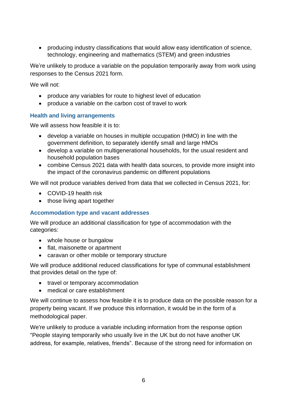• producing industry classifications that would allow easy identification of science, technology, engineering and mathematics (STEM) and green industries

We're unlikely to produce a variable on the population temporarily away from work using responses to the Census 2021 form.

We will not:

- produce any variables for route to highest level of education
- produce a variable on the carbon cost of travel to work

#### **Health and living arrangements**

We will assess how feasible it is to:

- develop a variable on houses in multiple occupation (HMO) in line with the government definition, to separately identify small and large HMOs
- develop a variable on multigenerational households, for the usual resident and household population bases
- combine Census 2021 data with health data sources, to provide more insight into the impact of the coronavirus pandemic on different populations

We will not produce variables derived from data that we collected in Census 2021, for:

- COVID-19 health risk
- those living apart together

#### **Accommodation type and vacant addresses**

We will produce an additional classification for type of accommodation with the categories:

- whole house or bungalow
- flat, maisonette or apartment
- caravan or other mobile or temporary structure

We will produce additional reduced classifications for type of communal establishment that provides detail on the type of:

- travel or temporary accommodation
- medical or care establishment

We will continue to assess how feasible it is to produce data on the possible reason for a property being vacant. If we produce this information, it would be in the form of a methodological paper.

We're unlikely to produce a variable including information from the response option "People staying temporarily who usually live in the UK but do not have another UK address, for example, relatives, friends". Because of the strong need for information on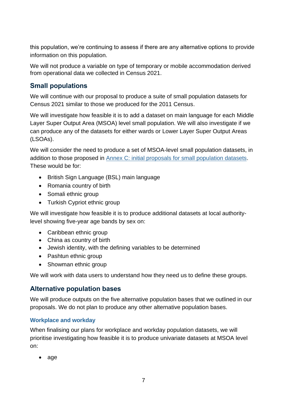this population, we're continuing to assess if there are any alternative options to provide information on this population.

We will not produce a variable on type of temporary or mobile accommodation derived from operational data we collected in Census 2021.

## **Small populations**

We will continue with our proposal to produce a suite of small population datasets for Census 2021 similar to those we produced for the 2011 Census.

We will investigate how feasible it is to add a dataset on main language for each Middle Layer Super Output Area (MSOA) level small population. We will also investigate if we can produce any of the datasets for either wards or Lower Layer Super Output Areas (LSOAs).

We will consider the need to produce a set of MSOA-level small population datasets, in addition to those proposed in [Annex C: initial proposals for small population datasets.](#page-82-0) These would be for:

- British Sign Language (BSL) main language
- Romania country of birth
- Somali ethnic group
- Turkish Cypriot ethnic group

We will investigate how feasible it is to produce additional datasets at local authoritylevel showing five-year age bands by sex on:

- Caribbean ethnic group
- China as country of birth
- Jewish identity, with the defining variables to be determined
- Pashtun ethnic group
- Showman ethnic group

We will work with data users to understand how they need us to define these groups.

### **Alternative population bases**

We will produce outputs on the five alternative population bases that we outlined in our proposals. We do not plan to produce any other alternative population bases.

#### **Workplace and workday**

When finalising our plans for workplace and workday population datasets, we will prioritise investigating how feasible it is to produce univariate datasets at MSOA level on:

• age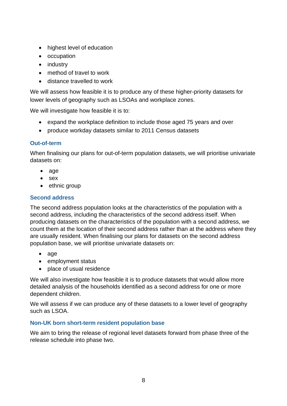- highest level of education
- occupation
- industry
- method of travel to work
- distance travelled to work

We will assess how feasible it is to produce any of these higher-priority datasets for lower levels of geography such as LSOAs and workplace zones.

We will investigate how feasible it is to:

- expand the workplace definition to include those aged 75 years and over
- produce workday datasets similar to 2011 Census datasets

#### **Out-of-term**

When finalising our plans for out-of-term population datasets, we will prioritise univariate datasets on:

- age
- sex
- ethnic group

#### **Second address**

The second address population looks at the characteristics of the population with a second address, including the characteristics of the second address itself. When producing datasets on the characteristics of the population with a second address, we count them at the location of their second address rather than at the address where they are usually resident. When finalising our plans for datasets on the second address population base, we will prioritise univariate datasets on:

- age
- employment status
- place of usual residence

We will also investigate how feasible it is to produce datasets that would allow more detailed analysis of the households identified as a second address for one or more dependent children.

We will assess if we can produce any of these datasets to a lower level of geography such as LSOA.

#### **Non-UK born short-term resident population base**

We aim to bring the release of regional level datasets forward from phase three of the release schedule into phase two.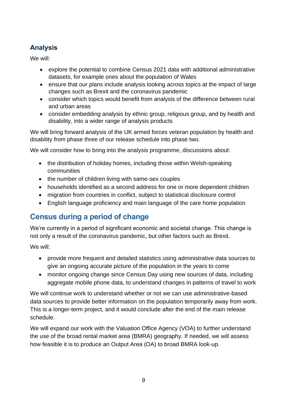# **Analysis**

We will:

- explore the potential to combine Census 2021 data with additional administrative datasets, for example ones about the population of Wales
- ensure that our plans include analysis looking across topics at the impact of large changes such as Brexit and the coronavirus pandemic
- consider which topics would benefit from analysis of the difference between rural and urban areas
- consider embedding analysis by ethnic group, religious group, and by health and disability, into a wider range of analysis products

We will bring forward analysis of the UK armed forces veteran population by health and disability from phase three of our release schedule into phase two.

We will consider how to bring into the analysis programme, discussions about:

- the distribution of holiday homes, including those within Welsh-speaking communities
- the number of children living with same-sex couples
- households identified as a second address for one or more dependent children
- migration from countries in conflict, subject to statistical disclosure control
- English language proficiency and main language of the care home population

# <span id="page-9-0"></span>**Census during a period of change**

We're currently in a period of significant economic and societal change. This change is not only a result of the coronavirus pandemic, but other factors such as Brexit.

We will:

- provide more frequent and detailed statistics using administrative data sources to give an ongoing accurate picture of the population in the years to come
- monitor ongoing change since Census Day using new sources of data, including aggregate mobile phone data, to understand changes in patterns of travel to work

We will continue work to understand whether or not we can use administrative-based data sources to provide better information on the population temporarily away from work. This is a longer-term project, and it would conclude after the end of the main release schedule.

We will expand our work with the Valuation Office Agency (VOA) to further understand the use of the broad rental market area (BMRA) geography. If needed, we will assess how feasible it is to produce an Output Area (OA) to broad BMRA look-up.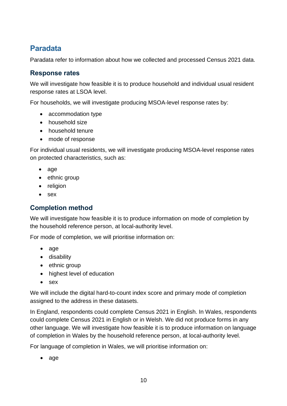# <span id="page-10-0"></span>**Paradata**

Paradata refer to information about how we collected and processed Census 2021 data.

### **Response rates**

We will investigate how feasible it is to produce household and individual usual resident response rates at LSOA level.

For households, we will investigate producing MSOA-level response rates by:

- accommodation type
- household size
- household tenure
- mode of response

For individual usual residents, we will investigate producing MSOA-level response rates on protected characteristics, such as:

- age
- ethnic group
- religion
- sex

### **Completion method**

We will investigate how feasible it is to produce information on mode of completion by the household reference person, at local-authority level.

For mode of completion, we will prioritise information on:

- age
- disability
- ethnic group
- highest level of education
- sex

We will include the digital hard-to-count index score and primary mode of completion assigned to the address in these datasets.

In England, respondents could complete Census 2021 in English. In Wales, respondents could complete Census 2021 in English or in Welsh. We did not produce forms in any other language. We will investigate how feasible it is to produce information on language of completion in Wales by the household reference person, at local-authority level.

For language of completion in Wales, we will prioritise information on:

• age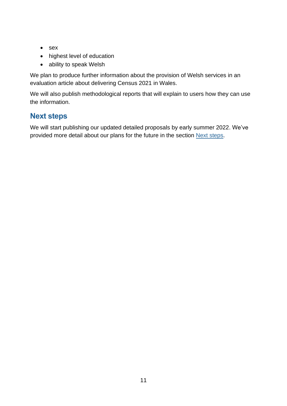- sex
- highest level of education
- ability to speak Welsh

We plan to produce further information about the provision of Welsh services in an evaluation article about delivering Census 2021 in Wales.

We will also publish methodological reports that will explain to users how they can use the information.

# <span id="page-11-0"></span>**Next steps**

We will start publishing our updated detailed proposals by early summer 2022. We've provided more detail about our plans for the future in the section [Next steps.](#page-79-0)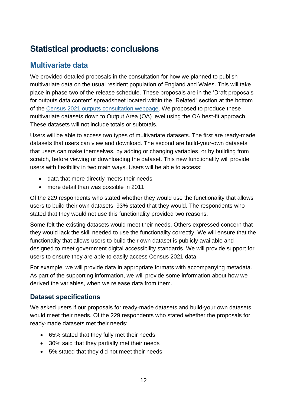# <span id="page-12-0"></span>**Statistical products: conclusions**

# <span id="page-12-1"></span>**Multivariate data**

We provided detailed proposals in the consultation for how we planned to publish multivariate data on the usual resident population of England and Wales. This will take place in phase two of the release schedule. These proposals are in the 'Draft proposals for outputs data content' spreadsheet located within the "Related" section at the bottom of the [Census 2021 outputs consultation webpage.](https://consultations.ons.gov.uk/external-affairs/census-2021-outputs-consultation) We proposed to produce these multivariate datasets down to Output Area (OA) level using the OA best-fit approach. These datasets will not include totals or subtotals.

Users will be able to access two types of multivariate datasets. The first are ready-made datasets that users can view and download. The second are build-your-own datasets that users can make themselves, by adding or changing variables, or by building from scratch, before viewing or downloading the dataset. This new functionality will provide users with flexibility in two main ways. Users will be able to access:

- data that more directly meets their needs
- more detail than was possible in 2011

Of the 229 respondents who stated whether they would use the functionality that allows users to build their own datasets, 93% stated that they would. The respondents who stated that they would not use this functionality provided two reasons.

Some felt the existing datasets would meet their needs. Others expressed concern that they would lack the skill needed to use the functionality correctly. We will ensure that the functionality that allows users to build their own dataset is publicly available and designed to meet government digital accessibility standards. We will provide support for users to ensure they are able to easily access Census 2021 data.

For example, we will provide data in appropriate formats with accompanying metadata. As part of the supporting information, we will provide some information about how we derived the variables, when we release data from them.

### **Dataset specifications**

We asked users if our proposals for ready-made datasets and build-your own datasets would meet their needs. Of the 229 respondents who stated whether the proposals for ready-made datasets met their needs:

- 65% stated that they fully met their needs
- 30% said that they partially met their needs
- 5% stated that they did not meet their needs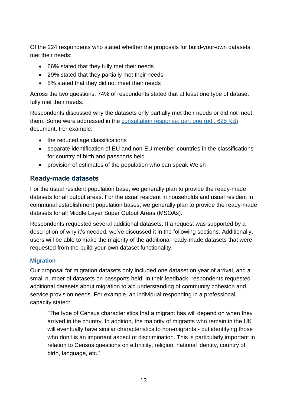Of the 224 respondents who stated whether the proposals for build-your-own datasets met their needs:

- 66% stated that they fully met their needs
- 29% stated that they partially met their needs
- 5% stated that they did not meet their needs

Across the two questions, 74% of respondents stated that at least one type of dataset fully met their needs.

Respondents discussed why the datasets only partially met their needs or did not meet them. Some were addressed in the [consultation response: part one](https://consultations.ons.gov.uk/external-affairs/census-2021-outputs-consultation/results/census2021outputsconsultationresponse-partone.pdf) (pdf, 625 KB) document. For example:

- the reduced age classifications
- separate identification of EU and non-EU member countries in the classifications for country of birth and passports held
- provision of estimates of the population who can speak Welsh

### **Ready-made datasets**

For the usual resident population base, we generally plan to provide the ready-made datasets for all output areas. For the usual resident in households and usual resident in communal establishment population bases, we generally plan to provide the ready-made datasets for all Middle Layer Super Output Areas (MSOAs).

Respondents requested several additional datasets. If a request was supported by a description of why it's needed, we've discussed it in the following sections. Additionally, users will be able to make the majority of the additional ready-made datasets that were requested from the build-your-own dataset functionality.

#### **Migration**

Our proposal for migration datasets only included one dataset on year of arrival, and a small number of datasets on passports held. In their feedback, respondents requested additional datasets about migration to aid understanding of community cohesion and service provision needs. For example, an individual responding in a professional capacity stated:

"The type of Census characteristics that a migrant has will depend on when they arrived in the country. In addition, the majority of migrants who remain in the UK will eventually have similar characteristics to non-migrants - but identifying those who don't is an important aspect of discrimination. This is particularly important in relation to Census questions on ethnicity, religion, national identity, country of birth, language, etc."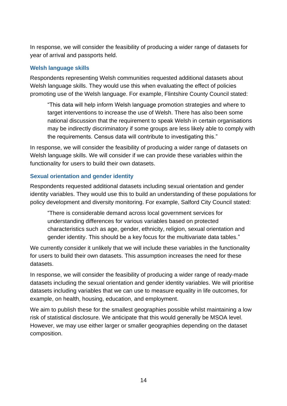In response, we will consider the feasibility of producing a wider range of datasets for year of arrival and passports held.

#### **Welsh language skills**

Respondents representing Welsh communities requested additional datasets about Welsh language skills. They would use this when evaluating the effect of policies promoting use of the Welsh language. For example, Flintshire County Council stated:

"This data will help inform Welsh language promotion strategies and where to target interventions to increase the use of Welsh. There has also been some national discussion that the requirement to speak Welsh in certain organisations may be indirectly discriminatory if some groups are less likely able to comply with the requirements. Census data will contribute to investigating this."

In response, we will consider the feasibility of producing a wider range of datasets on Welsh language skills. We will consider if we can provide these variables within the functionality for users to build their own datasets.

#### **Sexual orientation and gender identity**

Respondents requested additional datasets including sexual orientation and gender identity variables. They would use this to build an understanding of these populations for policy development and diversity monitoring. For example, Salford City Council stated:

"There is considerable demand across local government services for understanding differences for various variables based on protected characteristics such as age, gender, ethnicity, religion, sexual orientation and gender identity. This should be a key focus for the multivariate data tables."

We currently consider it unlikely that we will include these variables in the functionality for users to build their own datasets. This assumption increases the need for these datasets.

In response, we will consider the feasibility of producing a wider range of ready-made datasets including the sexual orientation and gender identity variables. We will prioritise datasets including variables that we can use to measure equality in life outcomes, for example, on health, housing, education, and employment.

We aim to publish these for the smallest geographies possible whilst maintaining a low risk of statistical disclosure. We anticipate that this would generally be MSOA level. However, we may use either larger or smaller geographies depending on the dataset composition.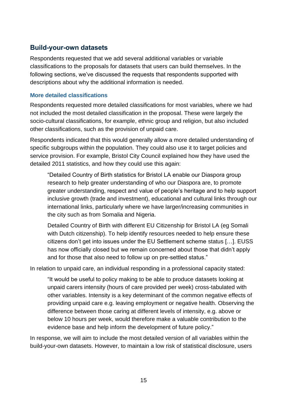### **Build-your-own datasets**

Respondents requested that we add several additional variables or variable classifications to the proposals for datasets that users can build themselves. In the following sections, we've discussed the requests that respondents supported with descriptions about why the additional information is needed.

#### **More detailed classifications**

Respondents requested more detailed classifications for most variables, where we had not included the most detailed classification in the proposal. These were largely the socio-cultural classifications, for example, ethnic group and religion, but also included other classifications, such as the provision of unpaid care.

Respondents indicated that this would generally allow a more detailed understanding of specific subgroups within the population. They could also use it to target policies and service provision. For example, Bristol City Council explained how they have used the detailed 2011 statistics, and how they could use this again:

"Detailed Country of Birth statistics for Bristol LA enable our Diaspora group research to help greater understanding of who our Diaspora are, to promote greater understanding, respect and value of people's heritage and to help support inclusive growth (trade and investment), educational and cultural links through our international links, particularly where we have larger/increasing communities in the city such as from Somalia and Nigeria.

Detailed Country of Birth with different EU Citizenship for Bristol LA (eg Somali with Dutch citizenship). To help identify resources needed to help ensure these citizens don't get into issues under the EU Settlement scheme status […]. EUSS has now officially closed but we remain concerned about those that didn't apply and for those that also need to follow up on pre-settled status."

In relation to unpaid care, an individual responding in a professional capacity stated:

"It would be useful to policy making to be able to produce datasets looking at unpaid carers intensity (hours of care provided per week) cross-tabulated with other variables. Intensity is a key determinant of the common negative effects of providing unpaid care e.g. leaving employment or negative health. Observing the difference between those caring at different levels of intensity, e.g. above or below 10 hours per week, would therefore make a valuable contribution to the evidence base and help inform the development of future policy."

In response, we will aim to include the most detailed version of all variables within the build-your-own datasets. However, to maintain a low risk of statistical disclosure, users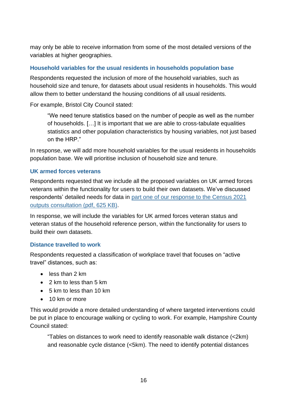may only be able to receive information from some of the most detailed versions of the variables at higher geographies.

#### **Household variables for the usual residents in households population base**

Respondents requested the inclusion of more of the household variables, such as household size and tenure, for datasets about usual residents in households. This would allow them to better understand the housing conditions of all usual residents.

For example, Bristol City Council stated:

"We need tenure statistics based on the number of people as well as the number of households. […] It is important that we are able to cross-tabulate equalities statistics and other population characteristics by housing variables, not just based on the HRP."

In response, we will add more household variables for the usual residents in households population base. We will prioritise inclusion of household size and tenure.

#### **UK armed forces veterans**

Respondents requested that we include all the proposed variables on UK armed forces veterans within the functionality for users to build their own datasets. We've discussed respondents' detailed needs for data in [part one of our response to the Census 2021](https://consultations.ons.gov.uk/external-affairs/census-2021-outputs-consultation/results/census2021outputsconsultationresponse-partone.pdf)  [outputs consultation](https://consultations.ons.gov.uk/external-affairs/census-2021-outputs-consultation/results/census2021outputsconsultationresponse-partone.pdf) (pdf, 625 KB).

In response, we will include the variables for UK armed forces veteran status and veteran status of the household reference person, within the functionality for users to build their own datasets.

#### **Distance travelled to work**

Respondents requested a classification of workplace travel that focuses on "active travel" distances, such as:

- less than 2 km
- 2 km to less than 5 km
- 5 km to less than 10 km
- 10 km or more

This would provide a more detailed understanding of where targeted interventions could be put in place to encourage walking or cycling to work. For example, Hampshire County Council stated:

"Tables on distances to work need to identify reasonable walk distance (<2km) and reasonable cycle distance (<5km). The need to identify potential distances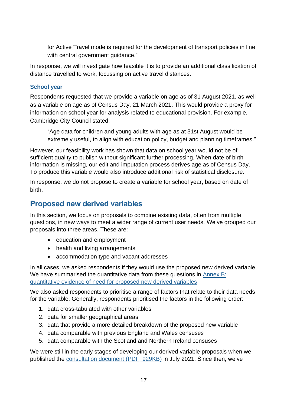for Active Travel mode is required for the development of transport policies in line with central government guidance."

In response, we will investigate how feasible it is to provide an additional classification of distance travelled to work, focussing on active travel distances.

#### **School year**

Respondents requested that we provide a variable on age as of 31 August 2021, as well as a variable on age as of Census Day, 21 March 2021. This would provide a proxy for information on school year for analysis related to educational provision. For example, Cambridge City Council stated:

"Age data for children and young adults with age as at 31st August would be extremely useful, to align with education policy, budget and planning timeframes."

However, our feasibility work has shown that data on school year would not be of sufficient quality to publish without significant further processing. When date of birth information is missing, our edit and imputation process derives age as of Census Day. To produce this variable would also introduce additional risk of statistical disclosure.

In response, we do not propose to create a variable for school year, based on date of birth.

## <span id="page-17-0"></span>**Proposed new derived variables**

In this section, we focus on proposals to combine existing data, often from multiple questions, in new ways to meet a wider range of current user needs. We've grouped our proposals into three areas. These are:

- education and employment
- health and living arrangements
- accommodation type and vacant addresses

In all cases, we asked respondents if they would use the proposed new derived variable. We have summarised the quantitative data from these questions in Annex B: [quantitative evidence of need for proposed new derived variables.](#page-81-0)

We also asked respondents to prioritise a range of factors that relate to their data needs for the variable. Generally, respondents prioritised the factors in the following order:

- 1. data cross-tabulated with other variables
- 2. data for smaller geographical areas
- 3. data that provide a more detailed breakdown of the proposed new variable
- 4. data comparable with previous England and Wales censuses
- 5. data comparable with the Scotland and Northern Ireland censuses

We were still in the early stages of developing our derived variable proposals when we published the [consultation document](https://consultations.ons.gov.uk/external-affairs/census-2021-outputs-consultation/supporting_documents/Consultation%20document%20%20Census%202021%20outputs%20design%20and%20release%20phase%20proposals.pdf) (PDF, 929KB) in July 2021. Since then, we've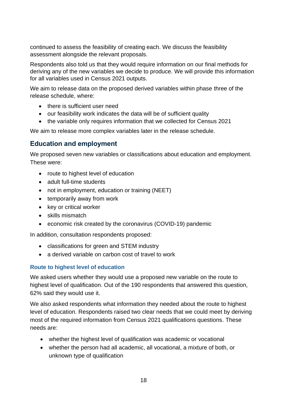continued to assess the feasibility of creating each. We discuss the feasibility assessment alongside the relevant proposals.

Respondents also told us that they would require information on our final methods for deriving any of the new variables we decide to produce. We will provide this information for all variables used in Census 2021 outputs.

We aim to release data on the proposed derived variables within phase three of the release schedule, where:

- there is sufficient user need
- our feasibility work indicates the data will be of sufficient quality
- the variable only requires information that we collected for Census 2021

We aim to release more complex variables later in the release schedule.

### **Education and employment**

We proposed seven new variables or classifications about education and employment. These were:

- route to highest level of education
- adult full-time students
- not in employment, education or training (NEET)
- temporarily away from work
- key or critical worker
- skills mismatch
- economic risk created by the coronavirus (COVID-19) pandemic

In addition, consultation respondents proposed:

- classifications for green and STEM industry
- a derived variable on carbon cost of travel to work

#### **Route to highest level of education**

We asked users whether they would use a proposed new variable on the route to highest level of qualification. Out of the 190 respondents that answered this question, 62% said they would use it.

We also asked respondents what information they needed about the route to highest level of education. Respondents raised two clear needs that we could meet by deriving most of the required information from Census 2021 qualifications questions. These needs are:

- whether the highest level of qualification was academic or vocational
- whether the person had all academic, all vocational, a mixture of both, or unknown type of qualification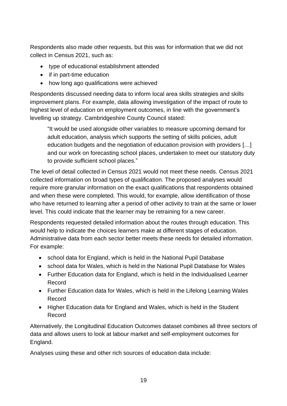Respondents also made other requests, but this was for information that we did not collect in Census 2021, such as:

- type of educational establishment attended
- if in part-time education
- how long ago qualifications were achieved

Respondents discussed needing data to inform local area skills strategies and skills improvement plans. For example, data allowing investigation of the impact of route to highest level of education on employment outcomes, in line with the government's levelling up strategy. Cambridgeshire County Council stated:

"It would be used alongside other variables to measure upcoming demand for adult education, analysis which supports the setting of skills policies, adult education budgets and the negotiation of education provision with providers […] and our work on forecasting school places, undertaken to meet our statutory duty to provide sufficient school places."

The level of detail collected in Census 2021 would not meet these needs. Census 2021 collected information on broad types of qualification. The proposed analyses would require more granular information on the exact qualifications that respondents obtained and when these were completed. This would, for example, allow identification of those who have returned to learning after a period of other activity to train at the same or lower level. This could indicate that the learner may be retraining for a new career.

Respondents requested detailed information about the routes through education. This would help to indicate the choices learners make at different stages of education. Administrative data from each sector better meets these needs for detailed information. For example:

- school data for England, which is held in the National Pupil Database
- school data for Wales, which is held in the National Pupil Database for Wales
- Further Education data for England, which is held in the Individualised Learner Record
- Further Education data for Wales, which is held in the Lifelong Learning Wales Record
- Higher Education data for England and Wales, which is held in the Student Record

Alternatively, the Longitudinal Education Outcomes dataset combines all three sectors of data and allows users to look at labour market and self-employment outcomes for England.

Analyses using these and other rich sources of education data include: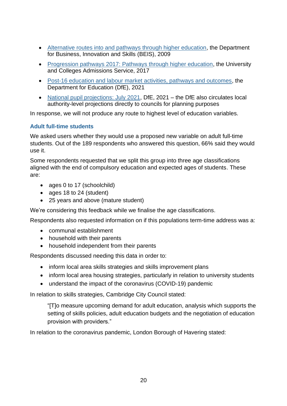- [Alternative routes into and pathways through higher education,](https://dera.ioe.ac.uk/9489/1/A9R1153.pdf) the Department for Business, Innovation and Skills (BEIS), 2009
- [Progression pathways 2017: Pathways through higher education,](https://www.ucas.com/file/110596/download?token=aVG758ND) the University and Colleges Admissions Service, 2017
- [Post-16 education and labour market activities, pathways and outcomes,](https://www.gov.uk/government/publications/post-16-education-and-labour-market-activities-pathways-and-outcomes-leo) the Department for Education (DfE), 2021
- [National pupil projections: July 2021,](https://www.gov.uk/government/statistics/national-pupil-projections-july-2021) DfE, 2021 the DfE also circulates local authority-level projections directly to councils for planning purposes

In response, we will not produce any route to highest level of education variables.

#### **Adult full-time students**

We asked users whether they would use a proposed new variable on adult full-time students. Out of the 189 respondents who answered this question, 66% said they would use it.

Some respondents requested that we split this group into three age classifications aligned with the end of compulsory education and expected ages of students. These are:

- ages 0 to 17 (schoolchild)
- ages 18 to 24 (student)
- 25 years and above (mature student)

We're considering this feedback while we finalise the age classifications.

Respondents also requested information on if this populations term-time address was a:

- communal establishment
- household with their parents
- household independent from their parents

Respondents discussed needing this data in order to:

- inform local area skills strategies and skills improvement plans
- inform local area housing strategies, particularly in relation to university students
- understand the impact of the coronavirus (COVID-19) pandemic

In relation to skills strategies, Cambridge City Council stated:

"[T]o measure upcoming demand for adult education, analysis which supports the setting of skills policies, adult education budgets and the negotiation of education provision with providers."

In relation to the coronavirus pandemic, London Borough of Havering stated: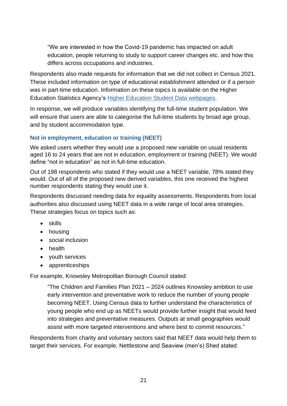"We are interested in how the Covid-19 pandemic has impacted on adult education, people returning to study to support career changes etc. and how this differs across occupations and industries.

Respondents also made requests for information that we did not collect in Census 2021. These included information on type of educational establishment attended or if a person was in part-time education. Information on these topics is available on the Higher Education Statistics Agency's [Higher Education Student Data webpages.](https://www.hesa.ac.uk/data-and-analysis/students)

In response, we will produce variables identifying the full-time student population. We will ensure that users are able to categorise the full-time students by broad age group, and by student accommodation type.

#### **Not in employment, education or training (NEET)**

We asked users whether they would use a proposed new variable on usual residents aged 16 to 24 years that are not in education, employment or training (NEET). We would define "not in education" as not in full-time education.

Out of 198 respondents who stated if they would use a NEET variable, 78% stated they would. Out of all of the proposed new derived variables, this one received the highest number respondents stating they would use it.

Respondents discussed needing data for equality assessments. Respondents from local authorities also discussed using NEET data in a wide range of local area strategies. These strategies focus on topics such as:

- skills
- housing
- social inclusion
- health
- youth services
- apprenticeships

For example, Knowsley Metropolitan Borough Council stated:

"The Children and Families Plan 2021 – 2024 outlines Knowsley ambition to use early intervention and preventative work to reduce the number of young people becoming NEET. Using Census data to further understand the characteristics of young people who end up as NEETs would provide further insight that would feed into strategies and preventative measures. Outputs at small geographies would assist with more targeted interventions and where best to commit resources."

Respondents from charity and voluntary sectors said that NEET data would help them to target their services. For example, Nettlestone and Seaview (men's) Shed stated: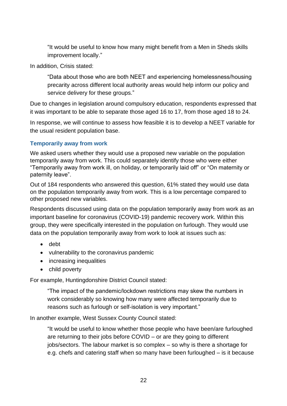"It would be useful to know how many might benefit from a Men in Sheds skills improvement locally."

In addition, Crisis stated:

"Data about those who are both NEET and experiencing homelessness/housing precarity across different local authority areas would help inform our policy and service delivery for these groups."

Due to changes in legislation around compulsory education, respondents expressed that it was important to be able to separate those aged 16 to 17, from those aged 18 to 24.

In response, we will continue to assess how feasible it is to develop a NEET variable for the usual resident population base.

#### **Temporarily away from work**

We asked users whether they would use a proposed new variable on the population temporarily away from work. This could separately identify those who were either "Temporarily away from work ill, on holiday, or temporarily laid off" or "On maternity or paternity leave".

Out of 184 respondents who answered this question, 61% stated they would use data on the population temporarily away from work. This is a low percentage compared to other proposed new variables.

Respondents discussed using data on the population temporarily away from work as an important baseline for coronavirus (COVID-19) pandemic recovery work. Within this group, they were specifically interested in the population on furlough. They would use data on the population temporarily away from work to look at issues such as:

- debt
- vulnerability to the coronavirus pandemic
- increasing inequalities
- child poverty

For example, Huntingdonshire District Council stated:

"The impact of the pandemic/lockdown restrictions may skew the numbers in work considerably so knowing how many were affected temporarily due to reasons such as furlough or self-isolation is very important."

In another example, West Sussex County Council stated:

"It would be useful to know whether those people who have been/are furloughed are returning to their jobs before COVID – or are they going to different jobs/sectors. The labour market is so complex – so why is there a shortage for e.g. chefs and catering staff when so many have been furloughed – is it because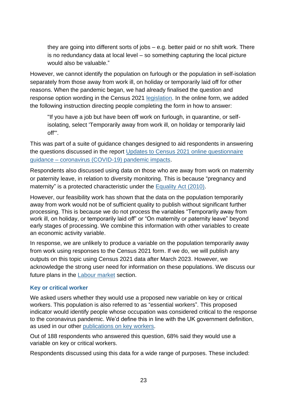they are going into different sorts of jobs – e.g. better paid or no shift work. There is no redundancy data at local level – so something capturing the local picture would also be valuable."

However, we cannot identify the population on furlough or the population in self-isolation separately from those away from work ill, on holiday or temporarily laid off for other reasons. When the pandemic began, we had already finalised the question and response option wording in the Census 2021 [legislation.](https://www.ons.gov.uk/census/censustransformationprogramme/legislationandpolicy) In the online form, we added the following instruction directing people completing the form in how to answer:

"If you have a job but have been off work on furlough, in quarantine, or selfisolating, select 'Temporarily away from work ill, on holiday or temporarily laid off'".

This was part of a suite of guidance changes designed to aid respondents in answering the questions discussed in the report [Updates to Census 2021 online questionnaire](https://www.ons.gov.uk/census/censustransformationprogramme/questiondevelopment/updatestocensus2021onlinequestionnaireguidancecoronaviruscovid19pandemicimpacts#updated-online-question-guidance-for-census-2021)  guidance – [coronavirus \(COVID-19\) pandemic impacts.](https://www.ons.gov.uk/census/censustransformationprogramme/questiondevelopment/updatestocensus2021onlinequestionnaireguidancecoronaviruscovid19pandemicimpacts#updated-online-question-guidance-for-census-2021)

Respondents also discussed using data on those who are away from work on maternity or paternity leave, in relation to diversity monitoring. This is because "pregnancy and maternity" is a protected characteristic under the [Equality Act \(2010\).](https://www.legislation.gov.uk/ukpga/2010/15/contents)

However, our feasibility work has shown that the data on the population temporarily away from work would not be of sufficient quality to publish without significant further processing. This is because we do not process the variables "Temporarily away from work ill, on holiday, or temporarily laid off" or "On maternity or paternity leave" beyond early stages of processing. We combine this information with other variables to create an economic activity variable.

In response, we are unlikely to produce a variable on the population temporarily away from work using responses to the Census 2021 form. If we do, we will publish any outputs on this topic using Census 2021 data after March 2023. However, we acknowledge the strong user need for information on these populations. We discuss our future plans in the **Labour market** section.

#### **Key or critical worker**

We asked users whether they would use a proposed new variable on key or critical workers. This population is also referred to as "essential workers". This proposed indicator would identify people whose occupation was considered critical to the response to the coronavirus pandemic. We'd define this in line with the UK government definition, as used in our other [publications on key workers.](https://www.ons.gov.uk/employmentandlabourmarket/peopleinwork/earningsandworkinghours/articles/coronavirusandkeyworkersintheuk/2020-05-15)

Out of 188 respondents who answered this question, 68% said they would use a variable on key or critical workers.

Respondents discussed using this data for a wide range of purposes. These included: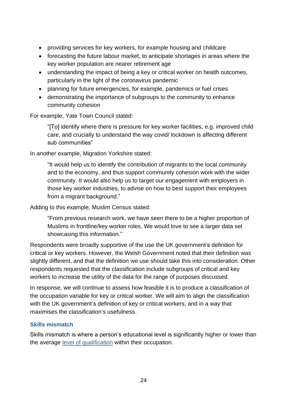- providing services for key workers, for example housing and childcare
- forecasting the future labour market, to anticipate shortages in areas where the key worker population are nearer retirement age
- understanding the impact of being a key or critical worker on health outcomes, particularly in the light of the coronavirus pandemic
- planning for future emergencies, for example, pandemics or fuel crises
- demonstrating the importance of subgroups to the community to enhance community cohesion

For example, Yate Town Council stated:

"[To] identify where there is pressure for key worker facilities, e.g. improved child care, and crucially to understand the way covid/ lockdown is affecting different sub communities"

In another example, Migration Yorkshire stated:

"It would help us to identify the contribution of migrants to the local community and to the economy, and thus support community cohesion work with the wider community. It would also help us to target our engagement with employers in those key worker industries, to advise on how to best support their employees from a migrant background."

Adding to this example, Muslim Census stated:

"From previous research work, we have seen there to be a higher proportion of Muslims in frontline/key worker roles. We would love to see a larger data set showcasing this information."

Respondents were broadly supportive of the use the UK government's definition for critical or key workers. However, the Welsh Government noted that their definition was slightly different, and that the definition we use should take this into consideration. Other respondents requested that the classification include subgroups of critical and key workers to increase the utility of the data for the range of purposes discussed.

In response, we will continue to assess how feasible it is to produce a classification of the occupation variable for key or critical worker. We will aim to align the classification with the UK government's definition of key or critical workers, and in a way that maximises the classification's usefulness.

#### **Skills mismatch**

Skills mismatch is where a person's educational level is significantly higher or lower than the average [level of qualification](https://www.gov.uk/what-different-qualification-levels-mean/list-of-qualification-levels) within their occupation.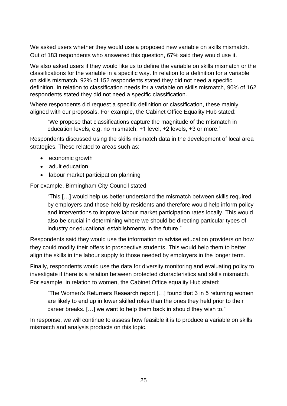We asked users whether they would use a proposed new variable on skills mismatch. Out of 183 respondents who answered this question, 67% said they would use it.

We also asked users if they would like us to define the variable on skills mismatch or the classifications for the variable in a specific way. In relation to a definition for a variable on skills mismatch, 92% of 152 respondents stated they did not need a specific definition. In relation to classification needs for a variable on skills mismatch, 90% of 162 respondents stated they did not need a specific classification.

Where respondents did request a specific definition or classification, these mainly aligned with our proposals. For example, the Cabinet Office Equality Hub stated:

"We propose that classifications capture the magnitude of the mismatch in education levels, e.g. no mismatch, +1 level, +2 levels, +3 or more."

Respondents discussed using the skills mismatch data in the development of local area strategies. These related to areas such as:

- economic growth
- adult education
- labour market participation planning

For example, Birmingham City Council stated:

"This […] would help us better understand the mismatch between skills required by employers and those held by residents and therefore would help inform policy and interventions to improve labour market participation rates locally. This would also be crucial in determining where we should be directing particular types of industry or educational establishments in the future."

Respondents said they would use the information to advise education providers on how they could modify their offers to prospective students. This would help them to better align the skills in the labour supply to those needed by employers in the longer term.

Finally, respondents would use the data for diversity monitoring and evaluating policy to investigate if there is a relation between protected characteristics and skills mismatch. For example, in relation to women, the Cabinet Office equality Hub stated:

"The Women's Returners Research report […] found that 3 in 5 returning women are likely to end up in lower skilled roles than the ones they held prior to their career breaks. […] we want to help them back in should they wish to."

In response, we will continue to assess how feasible it is to produce a variable on skills mismatch and analysis products on this topic.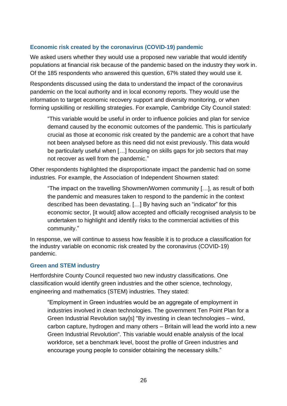#### **Economic risk created by the coronavirus (COVID-19) pandemic**

We asked users whether they would use a proposed new variable that would identify populations at financial risk because of the pandemic based on the industry they work in. Of the 185 respondents who answered this question, 67% stated they would use it.

Respondents discussed using the data to understand the impact of the coronavirus pandemic on the local authority and in local economy reports. They would use the information to target economic recovery support and diversity monitoring, or when forming upskilling or reskilling strategies. For example, Cambridge City Council stated:

"This variable would be useful in order to influence policies and plan for service demand caused by the economic outcomes of the pandemic. This is particularly crucial as those at economic risk created by the pandemic are a cohort that have not been analysed before as this need did not exist previously. This data would be particularly useful when […] focusing on skills gaps for job sectors that may not recover as well from the pandemic."

Other respondents highlighted the disproportionate impact the pandemic had on some industries. For example, the Association of Independent Showmen stated:

"The impact on the travelling Showmen/Women community […], as result of both the pandemic and measures taken to respond to the pandemic in the context described has been devastating. […] By having such an "indicator" for this economic sector, [it would] allow accepted and officially recognised analysis to be undertaken to highlight and identify risks to the commercial activities of this community."

In response, we will continue to assess how feasible it is to produce a classification for the industry variable on economic risk created by the coronavirus (COVID-19) pandemic.

#### **Green and STEM industry**

Hertfordshire County Council requested two new industry classifications. One classification would identify green industries and the other science, technology, engineering and mathematics (STEM) industries. They stated:

"Employment in Green industries would be an aggregate of employment in industries involved in clean technologies. The government Ten Point Plan for a Green Industrial Revolution say[s] "By investing in clean technologies – wind, carbon capture, hydrogen and many others – Britain will lead the world into a new Green Industrial Revolution". This variable would enable analysis of the local workforce, set a benchmark level, boost the profile of Green industries and encourage young people to consider obtaining the necessary skills."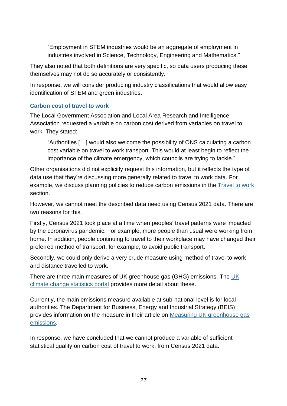"Employment in STEM industries would be an aggregate of employment in industries involved in Science, Technology, Engineering and Mathematics."

They also noted that both definitions are very specific, so data users producing these themselves may not do so accurately or consistently.

In response, we will consider producing industry classifications that would allow easy identification of STEM and green industries.

#### **Carbon cost of travel to work**

The Local Government Association and Local Area Research and Intelligence Association requested a variable on carbon cost derived from variables on travel to work. They stated:

"Authorities […] would also welcome the possibility of ONS calculating a carbon cost variable on travel to work transport. This would at least begin to reflect the importance of the climate emergency, which councils are trying to tackle."

Other organisations did not explicitly request this information, but it reflects the type of data use that they're discussing more generally related to travel to work data. For example, we discuss planning policies to reduce carbon emissions in the [Travel to work](#page-61-0) section.

However, we cannot meet the described data need using Census 2021 data. There are two reasons for this.

Firstly, Census 2021 took place at a time when peoples' travel patterns were impacted by the coronavirus pandemic. For example, more people than usual were working from home. In addition, people continuing to travel to their workplace may have changed their preferred method of transport, for example, to avoid public transport.

Secondly, we could only derive a very crude measure using method of travel to work and distance travelled to work.

There are three main measures of UK greenhouse gas (GHG) emissions. The [UK](https://climate-change.data.gov.uk/?confirm=true)  [climate change statistics portal](https://climate-change.data.gov.uk/?confirm=true) provides more detail about these.

Currently, the main emissions measure available at sub-national level is for local authorities. The Department for Business, Energy and Industrial Strategy (BEIS) provides information on the measure in their article on Measuring UK greenhouse gas [emissions.](https://climate-change.data.gov.uk/articles/measuring-greenhouse-gas-emissions)

In response, we have concluded that we cannot produce a variable of sufficient statistical quality on carbon cost of travel to work, from Census 2021 data.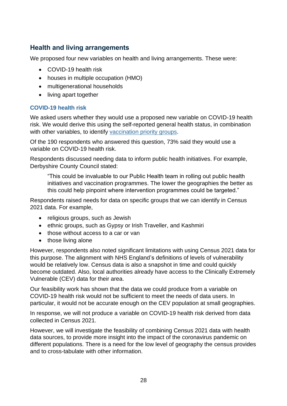## **Health and living arrangements**

We proposed four new variables on health and living arrangements. These were:

- COVID-19 health risk
- houses in multiple occupation (HMO)
- multigenerational households
- living apart together

#### **COVID-19 health risk**

We asked users whether they would use a proposed new variable on COVID-19 health risk. We would derive this using the self-reported general health status, in combination with other variables, to identify [vaccination priority groups.](https://www.gov.uk/government/publications/covid-19-vaccination-care-home-and-healthcare-settings-posters/covid-19-vaccination-first-phase-priority-groups)

Of the 190 respondents who answered this question, 73% said they would use a variable on COVID-19 health risk.

Respondents discussed needing data to inform public health initiatives. For example, Derbyshire County Council stated:

"This could be invaluable to our Public Health team in rolling out public health initiatives and vaccination programmes. The lower the geographies the better as this could help pinpoint where intervention programmes could be targeted."

Respondents raised needs for data on specific groups that we can identify in Census 2021 data. For example,

- religious groups, such as Jewish
- ethnic groups, such as Gypsy or Irish Traveller, and Kashmiri
- those without access to a car or van
- those living alone

However, respondents also noted significant limitations with using Census 2021 data for this purpose. The alignment with NHS England's definitions of levels of vulnerability would be relatively low. Census data is also a snapshot in time and could quickly become outdated. Also, local authorities already have access to the Clinically Extremely Vulnerable (CEV) data for their area.

Our feasibility work has shown that the data we could produce from a variable on COVID-19 health risk would not be sufficient to meet the needs of data users. In particular, it would not be accurate enough on the CEV population at small geographies.

In response, we will not produce a variable on COVID-19 health risk derived from data collected in Census 2021.

However, we will investigate the feasibility of combining Census 2021 data with health data sources, to provide more insight into the impact of the coronavirus pandemic on different populations. There is a need for the low level of geography the census provides and to cross-tabulate with other information.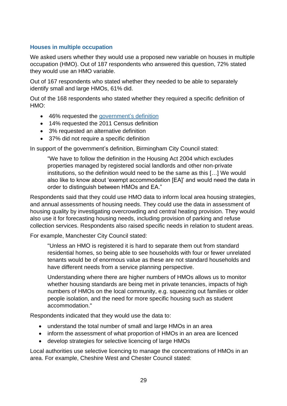#### **Houses in multiple occupation**

We asked users whether they would use a proposed new variable on houses in multiple occupation (HMO). Out of 187 respondents who answered this question, 72% stated they would use an HMO variable.

Out of 167 respondents who stated whether they needed to be able to separately identify small and large HMOs, 61% did.

Out of the 168 respondents who stated whether they required a specific definition of HMO:

- 46% requested the [government's definition](https://www.gov.uk/private-renting/houses-in-multiple-occupation)
- 14% requested the 2011 Census definition
- 3% requested an alternative definition
- 37% did not require a specific definition

In support of the government's definition, Birmingham City Council stated:

"We have to follow the definition in the Housing Act 2004 which excludes properties managed by registered social landlords and other non-private institutions, so the definition would need to be the same as this […] We would also like to know about 'exempt accommodation [EA]' and would need the data in order to distinguish between HMOs and EA."

Respondents said that they could use HMO data to inform local area housing strategies, and annual assessments of housing needs. They could use the data in assessment of housing quality by investigating overcrowding and central heating provision. They would also use it for forecasting housing needs, including provision of parking and refuse collection services. Respondents also raised specific needs in relation to student areas.

For example, Manchester City Council stated:

"Unless an HMO is registered it is hard to separate them out from standard residential homes, so being able to see households with four or fewer unrelated tenants would be of enormous value as these are not standard households and have different needs from a service planning perspective.

Understanding where there are higher numbers of HMOs allows us to monitor whether housing standards are being met in private tenancies, impacts of high numbers of HMOs on the local community, e.g. squeezing out families or older people isolation, and the need for more specific housing such as student accommodation."

Respondents indicated that they would use the data to:

- understand the total number of small and large HMOs in an area
- inform the assessment of what proportion of HMOs in an area are licenced
- develop strategies for selective licencing of large HMOs

Local authorities use selective licencing to manage the concentrations of HMOs in an area. For example, Cheshire West and Chester Council stated: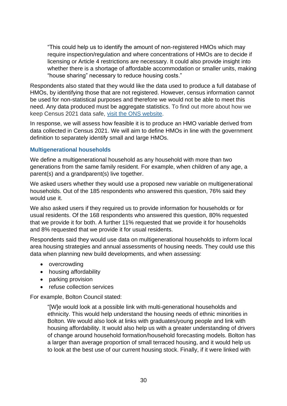"This could help us to identify the amount of non-registered HMOs which may require inspection/regulation and where concentrations of HMOs are to decide if licensing or Article 4 restrictions are necessary. It could also provide insight into whether there is a shortage of affordable accommodation or smaller units, making "house sharing" necessary to reduce housing costs."

Respondents also stated that they would like the data used to produce a full database of HMOs, by identifying those that are not registered. However, census information cannot be used for non-statistical purposes and therefore we would not be able to meet this need. Any data produced must be aggregate statistics. To find out more about how we keep Census 2021 data safe, [visit the ONS website.](https://www.ons.gov.uk/census/censustransformationprogramme/keepingyourinformationsecure)

In response, we will assess how feasible it is to produce an HMO variable derived from data collected in Census 2021. We will aim to define HMOs in line with the government definition to separately identify small and large HMOs.

#### **Multigenerational households**

We define a multigenerational household as any household with more than two generations from the same family resident. For example, when children of any age, a parent(s) and a grandparent(s) live together.

We asked users whether they would use a proposed new variable on multigenerational households. Out of the 185 respondents who answered this question, 76% said they would use it.

We also asked users if they required us to provide information for households or for usual residents. Of the 168 respondents who answered this question, 80% requested that we provide it for both. A further 11% requested that we provide it for households and 8% requested that we provide it for usual residents.

Respondents said they would use data on multigenerational households to inform local area housing strategies and annual assessments of housing needs. They could use this data when planning new build developments, and when assessing:

- overcrowding
- housing affordability
- parking provision
- refuse collection services

For example, Bolton Council stated:

"[W]e would look at a possible link with multi-generational households and ethnicity. This would help understand the housing needs of ethnic minorities in Bolton. We would also look at links with graduates/young people and link with housing affordability. It would also help us with a greater understanding of drivers of change around household formation/household forecasting models. Bolton has a larger than average proportion of small terraced housing, and it would help us to look at the best use of our current housing stock. Finally, if it were linked with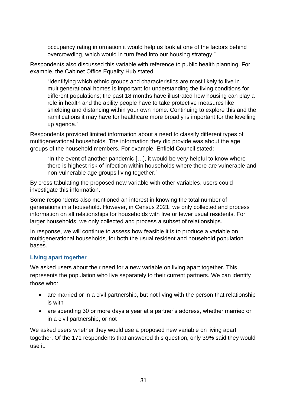occupancy rating information it would help us look at one of the factors behind overcrowding, which would in turn feed into our housing strategy."

Respondents also discussed this variable with reference to public health planning. For example, the Cabinet Office Equality Hub stated:

"Identifying which ethnic groups and characteristics are most likely to live in multigenerational homes is important for understanding the living conditions for different populations; the past 18 months have illustrated how housing can play a role in health and the ability people have to take protective measures like shielding and distancing within your own home. Continuing to explore this and the ramifications it may have for healthcare more broadly is important for the levelling up agenda."

Respondents provided limited information about a need to classify different types of multigenerational households. The information they did provide was about the age groups of the household members. For example, Enfield Council stated:

"In the event of another pandemic […], it would be very helpful to know where there is highest risk of infection within households where there are vulnerable and non-vulnerable age groups living together."

By cross tabulating the proposed new variable with other variables, users could investigate this information.

Some respondents also mentioned an interest in knowing the total number of generations in a household. However, in Census 2021, we only collected and process information on all relationships for households with five or fewer usual residents. For larger households, we only collected and process a subset of relationships.

In response, we will continue to assess how feasible it is to produce a variable on multigenerational households, for both the usual resident and household population bases.

#### **Living apart together**

We asked users about their need for a new variable on living apart together. This represents the population who live separately to their current partners. We can identify those who:

- are married or in a civil partnership, but not living with the person that relationship is with
- are spending 30 or more days a year at a partner's address, whether married or in a civil partnership, or not

We asked users whether they would use a proposed new variable on living apart together. Of the 171 respondents that answered this question, only 39% said they would use it.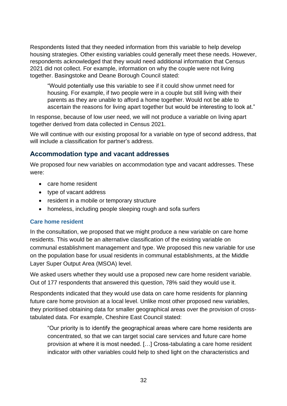Respondents listed that they needed information from this variable to help develop housing strategies. Other existing variables could generally meet these needs. However, respondents acknowledged that they would need additional information that Census 2021 did not collect. For example, information on why the couple were not living together. Basingstoke and Deane Borough Council stated:

"Would potentially use this variable to see if it could show unmet need for housing. For example, if two people were in a couple but still living with their parents as they are unable to afford a home together. Would not be able to ascertain the reasons for living apart together but would be interesting to look at."

In response, because of low user need, we will not produce a variable on living apart together derived from data collected in Census 2021.

We will continue with our existing proposal for a variable on type of second address, that will include a classification for partner's address.

#### **Accommodation type and vacant addresses**

We proposed four new variables on accommodation type and vacant addresses. These were:

- care home resident
- type of vacant address
- resident in a mobile or temporary structure
- homeless, including people sleeping rough and sofa surfers

#### **Care home resident**

In the consultation, we proposed that we might produce a new variable on care home residents. This would be an alternative classification of the existing variable on communal establishment management and type. We proposed this new variable for use on the population base for usual residents in communal establishments, at the Middle Layer Super Output Area (MSOA) level.

We asked users whether they would use a proposed new care home resident variable. Out of 177 respondents that answered this question, 78% said they would use it.

Respondents indicated that they would use data on care home residents for planning future care home provision at a local level. Unlike most other proposed new variables, they prioritised obtaining data for smaller geographical areas over the provision of crosstabulated data. For example, Cheshire East Council stated:

"Our priority is to identify the geographical areas where care home residents are concentrated, so that we can target social care services and future care home provision at where it is most needed. […] Cross-tabulating a care home resident indicator with other variables could help to shed light on the characteristics and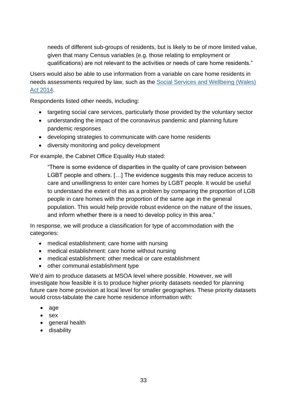needs of different sub-groups of residents, but is likely to be of more limited value, given that many Census variables (e.g. those relating to employment or qualifications) are not relevant to the activities or needs of care home residents."

Users would also be able to use information from a variable on care home residents in needs assessments required by law, such as the [Social Services and Wellbeing](https://www.swansea.gov.uk/sswbact#:~:text=The%20Social%20Services%20and%20Wellbeing,that%20the%20Act%20sets%20out.) (Wales) [Act 2014.](https://www.swansea.gov.uk/sswbact#:~:text=The%20Social%20Services%20and%20Wellbeing,that%20the%20Act%20sets%20out.)

Respondents listed other needs, including:

- targeting social care services, particularly those provided by the voluntary sector
- understanding the impact of the coronavirus pandemic and planning future pandemic responses
- developing strategies to communicate with care home residents
- diversity monitoring and policy development

For example, the Cabinet Office Equality Hub stated:

"There is some evidence of disparities in the quality of care provision between LGBT people and others. […] The evidence suggests this may reduce access to care and unwillingness to enter care homes by LGBT people. It would be useful to understand the extent of this as a problem by comparing the proportion of LGB people in care homes with the proportion of the same age in the general population. This would help provide robust evidence on the nature of the issues, and inform whether there is a need to develop policy in this area."

In response, we will produce a classification for type of accommodation with the categories:

- medical establishment: care home with nursing
- medical establishment: care home without nursing
- medical establishment: other medical or care establishment
- other communal establishment type

We'd aim to produce datasets at MSOA level where possible. However, we will investigate how feasible it is to produce higher priority datasets needed for planning future care home provision at local level for smaller geographies. These priority datasets would cross-tabulate the care home residence information with:

- age
- sex
- general health
- disability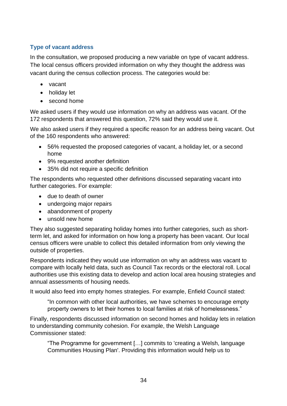### **Type of vacant address**

In the consultation, we proposed producing a new variable on type of vacant address. The local census officers provided information on why they thought the address was vacant during the census collection process. The categories would be:

- vacant
- holiday let
- second home

We asked users if they would use information on why an address was vacant. Of the 172 respondents that answered this question, 72% said they would use it.

We also asked users if they required a specific reason for an address being vacant. Out of the 160 respondents who answered:

- 56% requested the proposed categories of vacant, a holiday let, or a second home
- 9% requested another definition
- 35% did not require a specific definition

The respondents who requested other definitions discussed separating vacant into further categories. For example:

- due to death of owner
- undergoing major repairs
- abandonment of property
- unsold new home

They also suggested separating holiday homes into further categories, such as shortterm let, and asked for information on how long a property has been vacant. Our local census officers were unable to collect this detailed information from only viewing the outside of properties.

Respondents indicated they would use information on why an address was vacant to compare with locally held data, such as Council Tax records or the electoral roll. Local authorities use this existing data to develop and action local area housing strategies and annual assessments of housing needs.

It would also feed into empty homes strategies. For example, Enfield Council stated:

"In common with other local authorities, we have schemes to encourage empty property owners to let their homes to local families at risk of homelessness."

Finally, respondents discussed information on second homes and holiday lets in relation to understanding community cohesion. For example, the Welsh Language Commissioner stated:

"The Programme for government […] commits to 'creating a Welsh, language Communities Housing Plan'. Providing this information would help us to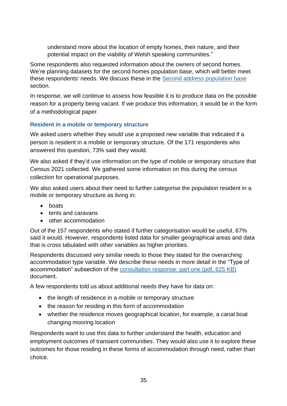understand more about the location of empty homes, their nature, and their potential impact on the viability of Welsh speaking communities."

Some respondents also requested information about the owners of second homes. We're planning datasets for the second homes population base, which will better meet these respondents' needs. We discuss these in the **Second address population base** section.

In response, we will continue to assess how feasible it is to produce data on the possible reason for a property being vacant. If we produce this information, it would be in the form of a methodological paper.

#### **Resident in a mobile or temporary structure**

We asked users whether they would use a proposed new variable that indicated if a person is resident in a mobile or temporary structure. Of the 171 respondents who answered this question, 73% said they would.

We also asked if they'd use information on the type of mobile or temporary structure that Census 2021 collected. We gathered some information on this during the census collection for operational purposes.

We also asked users about their need to further categorise the population resident in a mobile or temporary structure as living in:

- boats
- tents and caravans
- other accommodation

Out of the 157 respondents who stated if further categorisation would be useful, 67% said it would. However, respondents listed data for smaller geographical areas and data that is cross tabulated with other variables as higher priorities.

Respondents discussed very similar needs to those they stated for the overarching accommodation type variable. We describe these needs in more detail in the "Type of accommodation" subsection of the [consultation response: part one \(pdf, 625 KB\)](https://consultations.ons.gov.uk/external-affairs/census-2021-outputs-consultation/results/census2021outputsconsultationresponse-partone.pdf) document.

A few respondents told us about additional needs they have for data on:

- the length of residence in a mobile or temporary structure
- the reason for residing in this form of accommodation
- whether the residence moves geographical location, for example, a canal boat changing mooring location

Respondents want to use this data to further understand the health, education and employment outcomes of transient communities. They would also use it to explore these outcomes for those residing in these forms of accommodation through need, rather than choice.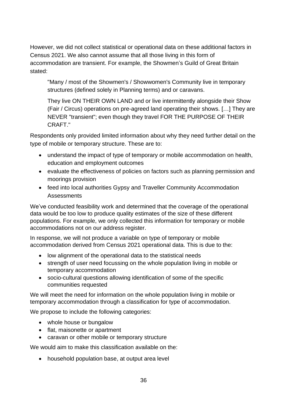However, we did not collect statistical or operational data on these additional factors in Census 2021. We also cannot assume that all those living in this form of accommodation are transient. For example, the Showmen's Guild of Great Britain stated:

"Many / most of the Showmen's / Showwomen's Community live in temporary structures (defined solely in Planning terms) and or caravans.

They live ON THEIR OWN LAND and or live intermittently alongside their Show (Fair / Circus) operations on pre-agreed land operating their shows. […] They are NEVER "transient"; even though they travel FOR THE PURPOSE OF THEIR CRAFT."

Respondents only provided limited information about why they need further detail on the type of mobile or temporary structure. These are to:

- understand the impact of type of temporary or mobile accommodation on health, education and employment outcomes
- evaluate the effectiveness of policies on factors such as planning permission and moorings provision
- feed into local authorities Gypsy and Traveller Community Accommodation Assessments

We've conducted feasibility work and determined that the coverage of the operational data would be too low to produce quality estimates of the size of these different populations. For example, we only collected this information for temporary or mobile accommodations not on our address register.

In response, we will not produce a variable on type of temporary or mobile accommodation derived from Census 2021 operational data. This is due to the:

- low alignment of the operational data to the statistical needs
- strength of user need focussing on the whole population living in mobile or temporary accommodation
- socio-cultural questions allowing identification of some of the specific communities requested

We will meet the need for information on the whole population living in mobile or temporary accommodation through a classification for type of accommodation.

We propose to include the following categories:

- whole house or bungalow
- flat, maisonette or apartment
- caravan or other mobile or temporary structure

We would aim to make this classification available on the:

• household population base, at output area level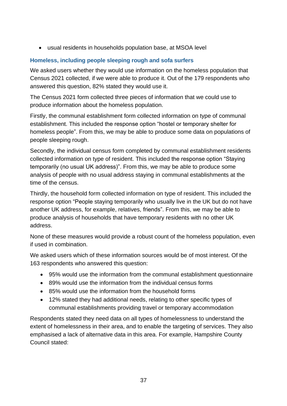• usual residents in households population base, at MSOA level

### **Homeless, including people sleeping rough and sofa surfers**

We asked users whether they would use information on the homeless population that Census 2021 collected, if we were able to produce it. Out of the 179 respondents who answered this question, 82% stated they would use it.

The Census 2021 form collected three pieces of information that we could use to produce information about the homeless population.

Firstly, the communal establishment form collected information on type of communal establishment. This included the response option "hostel or temporary shelter for homeless people". From this, we may be able to produce some data on populations of people sleeping rough.

Secondly, the individual census form completed by communal establishment residents collected information on type of resident. This included the response option "Staying temporarily (no usual UK address)". From this, we may be able to produce some analysis of people with no usual address staying in communal establishments at the time of the census.

Thirdly, the household form collected information on type of resident. This included the response option "People staying temporarily who usually live in the UK but do not have another UK address, for example, relatives, friends". From this, we may be able to produce analysis of households that have temporary residents with no other UK address.

None of these measures would provide a robust count of the homeless population, even if used in combination.

We asked users which of these information sources would be of most interest. Of the 163 respondents who answered this question:

- 95% would use the information from the communal establishment questionnaire
- 89% would use the information from the individual census forms
- 85% would use the information from the household forms
- 12% stated they had additional needs, relating to other specific types of communal establishments providing travel or temporary accommodation

Respondents stated they need data on all types of homelessness to understand the extent of homelessness in their area, and to enable the targeting of services. They also emphasised a lack of alternative data in this area. For example, Hampshire County Council stated: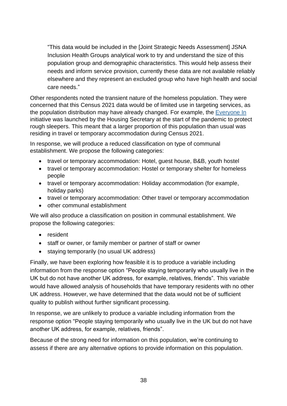"This data would be included in the [Joint Strategic Needs Assessment] JSNA Inclusion Health Groups analytical work to try and understand the size of this population group and demographic characteristics. This would help assess their needs and inform service provision, currently these data are not available reliably elsewhere and they represent an excluded group who have high health and social care needs."

Other respondents noted the transient nature of the homeless population. They were concerned that this Census 2021 data would be of limited use in targeting services, as the population distribution may have already changed. For example, the [Everyone In](https://www.gov.uk/government/news/government-continues-drive-to-end-rough-sleeping-building-on-success-of-everyone-in) initiative was launched by the Housing Secretary at the start of the pandemic to protect rough sleepers. This meant that a larger proportion of this population than usual was residing in travel or temporary accommodation during Census 2021.

In response, we will produce a reduced classification on type of communal establishment. We propose the following categories:

- travel or temporary accommodation: Hotel, guest house, B&B, youth hostel
- travel or temporary accommodation: Hostel or temporary shelter for homeless people
- travel or temporary accommodation: Holiday accommodation (for example, holiday parks)
- travel or temporary accommodation: Other travel or temporary accommodation
- other communal establishment

We will also produce a classification on position in communal establishment. We propose the following categories:

- resident
- staff or owner, or family member or partner of staff or owner
- staying temporarily (no usual UK address)

Finally, we have been exploring how feasible it is to produce a variable including information from the response option "People staying temporarily who usually live in the UK but do not have another UK address, for example, relatives, friends". This variable would have allowed analysis of households that have temporary residents with no other UK address. However, we have determined that the data would not be of sufficient quality to publish without further significant processing.

In response, we are unlikely to produce a variable including information from the response option "People staying temporarily who usually live in the UK but do not have another UK address, for example, relatives, friends".

Because of the strong need for information on this population, we're continuing to assess if there are any alternative options to provide information on this population.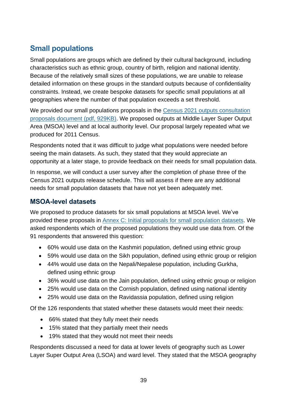# **Small populations**

Small populations are groups which are defined by their cultural background, including characteristics such as ethnic group, country of birth, religion and national identity. Because of the relatively small sizes of these populations, we are unable to release detailed information on these groups in the standard outputs because of confidentiality constraints. Instead, we create bespoke datasets for specific small populations at all geographies where the number of that population exceeds a set threshold.

We provided our small populations proposals in the Census 2021 outputs consultation [proposals document](https://consultations.ons.gov.uk/external-affairs/census-2021-outputs-consultation/supporting_documents/Consultation%20document%20%20Census%202021%20outputs%20design%20and%20release%20phase%20proposals.pdf) (pdf, 929KB). We proposed outputs at Middle Layer Super Output Area (MSOA) level and at local authority level. Our proposal largely repeated what we produced for 2011 Census.

Respondents noted that it was difficult to judge what populations were needed before seeing the main datasets. As such, they stated that they would appreciate an opportunity at a later stage, to provide feedback on their needs for small population data.

In response, we will conduct a user survey after the completion of phase three of the Census 2021 outputs release schedule. This will assess if there are any additional needs for small population datasets that have not yet been adequately met.

## **MSOA-level datasets**

We proposed to produce datasets for six small populations at MSOA level. We've provided these proposals in [Annex C: Initial proposals for small population](#page-82-0) datasets. We asked respondents which of the proposed populations they would use data from. Of the 91 respondents that answered this question:

- 60% would use data on the Kashmiri population, defined using ethnic group
- 59% would use data on the Sikh population, defined using ethnic group or religion
- 44% would use data on the Nepali/Nepalese population, including Gurkha, defined using ethnic group
- 36% would use data on the Jain population, defined using ethnic group or religion
- 25% would use data on the Cornish population, defined using national identity
- 25% would use data on the Ravidassia population, defined using religion

Of the 126 respondents that stated whether these datasets would meet their needs:

- 66% stated that they fully meet their needs
- 15% stated that they partially meet their needs
- 19% stated that they would not meet their needs

Respondents discussed a need for data at lower levels of geography such as Lower Layer Super Output Area (LSOA) and ward level. They stated that the MSOA geography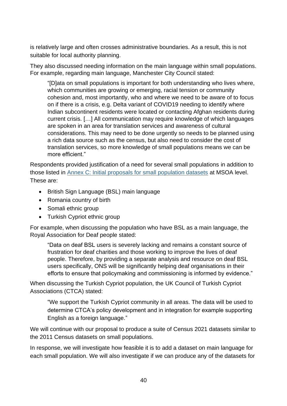is relatively large and often crosses administrative boundaries. As a result, this is not suitable for local authority planning.

They also discussed needing information on the main language within small populations. For example, regarding main language, Manchester City Council stated:

"[D]ata on small populations is important for both understanding who lives where, which communities are growing or emerging, racial tension or community cohesion and, most importantly, who and where we need to be aware of to focus on if there is a crisis, e.g. Delta variant of COVID19 needing to identify where Indian subcontinent residents were located or contacting Afghan residents during current crisis. […] All communication may require knowledge of which languages are spoken in an area for translation services and awareness of cultural considerations. This may need to be done urgently so needs to be planned using a rich data source such as the census, but also need to consider the cost of translation services, so more knowledge of small populations means we can be more efficient."

Respondents provided justification of a need for several small populations in addition to those listed in [Annex C: Initial proposals for small population datasets](#page-82-0) at MSOA level. These are:

- British Sign Language (BSL) main language
- Romania country of birth
- Somali ethnic group
- Turkish Cypriot ethnic group

For example, when discussing the population who have BSL as a main language, the Royal Association for Deaf people stated:

"Data on deaf BSL users is severely lacking and remains a constant source of frustration for deaf charities and those working to improve the lives of deaf people. Therefore, by providing a separate analysis and resource on deaf BSL users specifically, ONS will be significantly helping deaf organisations in their efforts to ensure that policymaking and commissioning is informed by evidence."

When discussing the Turkish Cypriot population, the UK Council of Turkish Cypriot Associations (CTCA) stated:

"We support the Turkish Cypriot community in all areas. The data will be used to determine CTCA's policy development and in integration for example supporting English as a foreign language."

We will continue with our proposal to produce a suite of Census 2021 datasets similar to the 2011 Census datasets on small populations.

In response, we will investigate how feasible it is to add a dataset on main language for each small population. We will also investigate if we can produce any of the datasets for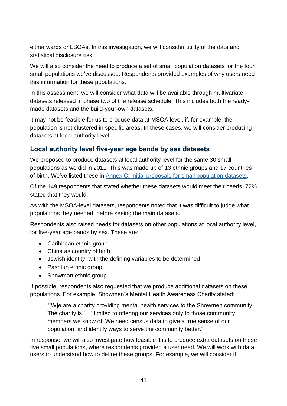either wards or LSOAs. In this investigation, we will consider utility of the data and statistical disclosure risk.

We will also consider the need to produce a set of small population datasets for the four small populations we've discussed. Respondents provided examples of why users need this information for these populations.

In this assessment, we will consider what data will be available through multivariate datasets released in phase two of the release schedule. This includes both the readymade datasets and the build-your-own datasets.

It may not be feasible for us to produce data at MSOA level, if, for example, the population is not clustered in specific areas. In these cases, we will consider producing datasets at local authority level.

# **Local authority level five-year age bands by sex datasets**

We proposed to produce datasets at local authority level for the same 30 small populations as we did in 2011. This was made up of 13 ethnic groups and 17 countries of birth. We've listed these in [Annex C: Initial proposals for small population datasets.](#page-82-0)

Of the 149 respondents that stated whether these datasets would meet their needs, 72% stated that they would.

As with the MSOA-level datasets, respondents noted that it was difficult to judge what populations they needed, before seeing the main datasets.

Respondents also raised needs for datasets on other populations at local authority level, for five-year age bands by sex. These are:

- Caribbean ethnic group
- China as country of birth
- Jewish identity, with the defining variables to be determined
- Pashtun ethnic group
- Showman ethnic group

If possible, respondents also requested that we produce additional datasets on these populations. For example, Showmen's Mental Health Awareness Charity stated:

"[W]e are a charity providing mental health services to the Showmen community. The charity is […] limited to offering our services only to those community members we know of. We need census data to give a true sense of our population, and identify ways to serve the community better."

In response, we will also investigate how feasible it is to produce extra datasets on these five small populations, where respondents provided a user need. We will work with data users to understand how to define these groups. For example, we will consider if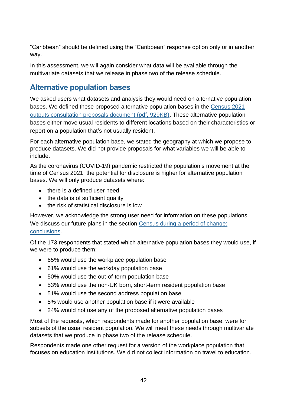"Caribbean" should be defined using the "Caribbean" response option only or in another way.

In this assessment, we will again consider what data will be available through the multivariate datasets that we release in phase two of the release schedule.

# <span id="page-42-0"></span>**Alternative population bases**

We asked users what datasets and analysis they would need on alternative population bases. We defined these proposed alternative population bases in the [Census 2021](https://consultations.ons.gov.uk/external-affairs/census-2021-outputs-consultation/supporting_documents/Consultation%20document%20%20Census%202021%20outputs%20design%20and%20release%20phase%20proposals.pdf)  [outputs consultation proposals document \(pdf, 929KB\).](https://consultations.ons.gov.uk/external-affairs/census-2021-outputs-consultation/supporting_documents/Consultation%20document%20%20Census%202021%20outputs%20design%20and%20release%20phase%20proposals.pdf) These alternative population bases either move usual residents to different locations based on their characteristics or report on a population that's not usually resident.

For each alternative population base, we stated the geography at which we propose to produce datasets. We did not provide proposals for what variables we will be able to include.

As the coronavirus (COVID-19) pandemic restricted the population's movement at the time of Census 2021, the potential for disclosure is higher for alternative population bases. We will only produce datasets where:

- there is a defined user need
- the data is of sufficient quality
- the risk of statistical disclosure is low

However, we acknowledge the strong user need for information on these populations. We discuss our future plans in the section [Census during a period of change:](#page-58-0) [conclusions.](#page-58-0)

Of the 173 respondents that stated which alternative population bases they would use, if we were to produce them:

- 65% would use the workplace population base
- 61% would use the workday population base
- 50% would use the out-of-term population base
- 53% would use the non-UK born, short-term resident population base
- 51% would use the second address population base
- 5% would use another population base if it were available
- 24% would not use any of the proposed alternative population bases

Most of the requests, which respondents made for another population base, were for subsets of the usual resident population. We will meet these needs through multivariate datasets that we produce in phase two of the release schedule.

Respondents made one other request for a version of the workplace population that focuses on education institutions. We did not collect information on travel to education.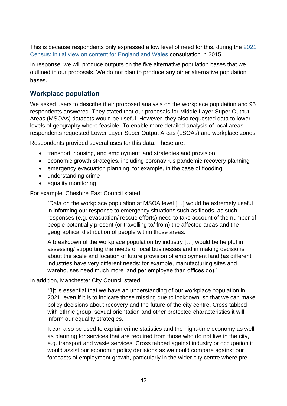This is because respondents only expressed a low level of need for this, during the [2021](https://www.ons.gov.uk/census/censustransformationprogramme/consultations/the2021censusinitialviewoncontentforenglandandwales)  [Census: initial view on content for England and Wales](https://www.ons.gov.uk/census/censustransformationprogramme/consultations/the2021censusinitialviewoncontentforenglandandwales) consultation in 2015.

In response, we will produce outputs on the five alternative population bases that we outlined in our proposals. We do not plan to produce any other alternative population bases.

## <span id="page-43-0"></span>**Workplace population**

We asked users to describe their proposed analysis on the workplace population and 95 respondents answered. They stated that our proposals for Middle Layer Super Output Areas (MSOAs) datasets would be useful. However, they also requested data to lower levels of geography where feasible. To enable more detailed analysis of local areas, respondents requested Lower Layer Super Output Areas (LSOAs) and workplace zones.

Respondents provided several uses for this data. These are:

- transport, housing, and employment land strategies and provision
- economic growth strategies, including coronavirus pandemic recovery planning
- emergency evacuation planning, for example, in the case of flooding
- understanding crime
- equality monitoring

For example, Cheshire East Council stated:

"Data on the workplace population at MSOA level […] would be extremely useful in informing our response to emergency situations such as floods, as such responses (e.g. evacuation/ rescue efforts) need to take account of the number of people potentially present (or travelling to/ from) the affected areas and the geographical distribution of people within those areas.

A breakdown of the workplace population by industry […] would be helpful in assessing/ supporting the needs of local businesses and in making decisions about the scale and location of future provision of employment land (as different industries have very different needs: for example, manufacturing sites and warehouses need much more land per employee than offices do)."

In addition, Manchester City Council stated:

"[I]t is essential that we have an understanding of our workplace population in 2021, even if it is to indicate those missing due to lockdown, so that we can make policy decisions about recovery and the future of the city centre. Cross tabbed with ethnic group, sexual orientation and other protected characteristics it will inform our equality strategies.

It can also be used to explain crime statistics and the night-time economy as well as planning for services that are required from those who do not live in the city, e.g. transport and waste services. Cross tabbed against industry or occupation it would assist our economic policy decisions as we could compare against our forecasts of employment growth, particularly in the wider city centre where pre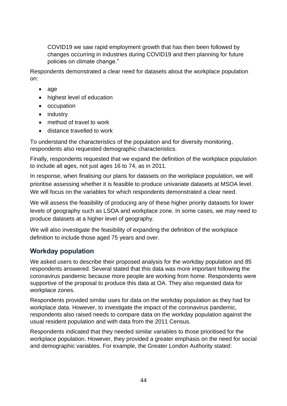COVID19 we saw rapid employment growth that has then been followed by changes occurring in industries during COVID19 and then planning for future policies on climate change."

Respondents demonstrated a clear need for datasets about the workplace population on:

- age
- highest level of education
- occupation
- industry
- method of travel to work
- distance travelled to work

To understand the characteristics of the population and for diversity monitoring, respondents also requested demographic characteristics.

Finally, respondents requested that we expand the definition of the workplace population to include all ages, not just ages 16 to 74, as in 2011.

In response, when finalising our plans for datasets on the workplace population, we will prioritise assessing whether it is feasible to produce univariate datasets at MSOA level. We will focus on the variables for which respondents demonstrated a clear need.

We will assess the feasibility of producing any of these higher priority datasets for lower levels of geography such as LSOA and workplace zone. In some cases, we may need to produce datasets at a higher level of geography.

We will also investigate the feasibility of expanding the definition of the workplace definition to include those aged 75 years and over.

### <span id="page-44-0"></span>**Workday population**

We asked users to describe their proposed analysis for the workday population and 85 respondents answered. Several stated that this data was more important following the coronavirus pandemic because more people are working from home. Respondents were supportive of the proposal to produce this data at OA. They also requested data for workplace zones.

Respondents provided similar uses for data on the workday population as they had for workplace data. However, to investigate the impact of the coronavirus pandemic, respondents also raised needs to compare data on the workday population against the usual resident population and with data from the 2011 Census.

Respondents indicated that they needed similar variables to those prioritised for the workplace population. However, they provided a greater emphasis on the need for social and demographic variables. For example, the Greater London Authority stated: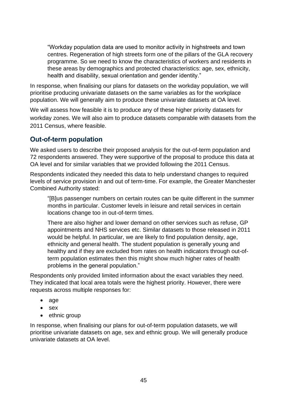"Workday population data are used to monitor activity in highstreets and town centres. Regeneration of high streets form one of the pillars of the GLA recovery programme. So we need to know the characteristics of workers and residents in these areas by demographics and protected characteristics: age, sex, ethnicity, health and disability, sexual orientation and gender identity."

In response, when finalising our plans for datasets on the workday population, we will prioritise producing univariate datasets on the same variables as for the workplace population. We will generally aim to produce these univariate datasets at OA level.

We will assess how feasible it is to produce any of these higher priority datasets for workday zones. We will also aim to produce datasets comparable with datasets from the 2011 Census, where feasible.

## **Out-of-term population**

We asked users to describe their proposed analysis for the out-of-term population and 72 respondents answered. They were supportive of the proposal to produce this data at OA level and for similar variables that we provided following the 2011 Census.

Respondents indicated they needed this data to help understand changes to required levels of service provision in and out of term-time. For example, the Greater Manchester Combined Authority stated:

"[B]us passenger numbers on certain routes can be quite different in the summer months in particular. Customer levels in leisure and retail services in certain locations change too in out-of-term times.

There are also higher and lower demand on other services such as refuse, GP appointments and NHS services etc. Similar datasets to those released in 2011 would be helpful. In particular, we are likely to find population density, age, ethnicity and general health. The student population is generally young and healthy and if they are excluded from rates on health indicators through out-ofterm population estimates then this might show much higher rates of health problems in the general population."

Respondents only provided limited information about the exact variables they need. They indicated that local area totals were the highest priority. However, there were requests across multiple responses for:

- age
- sex
- ethnic group

In response, when finalising our plans for out-of-term population datasets, we will prioritise univariate datasets on age, sex and ethnic group. We will generally produce univariate datasets at OA level.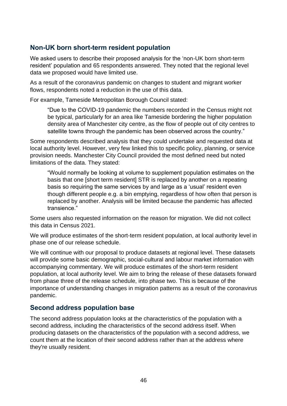# **Non-UK born short-term resident population**

We asked users to describe their proposed analysis for the 'non-UK born short-term resident' population and 65 respondents answered. They noted that the regional level data we proposed would have limited use.

As a result of the coronavirus pandemic on changes to student and migrant worker flows, respondents noted a reduction in the use of this data.

For example, Tameside Metropolitan Borough Council stated:

"Due to the COVID-19 pandemic the numbers recorded in the Census might not be typical, particularly for an area like Tameside bordering the higher population density area of Manchester city centre, as the flow of people out of city centres to satellite towns through the pandemic has been observed across the country."

Some respondents described analysis that they could undertake and requested data at local authority level. However, very few linked this to specific policy, planning, or service provision needs. Manchester City Council provided the most defined need but noted limitations of the data. They stated:

"Would normally be looking at volume to supplement population estimates on the basis that one [short term resident] STR is replaced by another on a repeating basis so requiring the same services by and large as a 'usual' resident even though different people e.g. a bin emptying, regardless of how often that person is replaced by another. Analysis will be limited because the pandemic has affected transience."

Some users also requested information on the reason for migration. We did not collect this data in Census 2021.

We will produce estimates of the short-term resident population, at local authority level in phase one of our release schedule.

We will continue with our proposal to produce datasets at regional level. These datasets will provide some basic demographic, social-cultural and labour market information with accompanying commentary. We will produce estimates of the short-term resident population, at local authority level. We aim to bring the release of these datasets forward from phase three of the release schedule, into phase two. This is because of the importance of understanding changes in migration patterns as a result of the coronavirus pandemic.

### <span id="page-46-0"></span>**Second address population base**

The second address population looks at the characteristics of the population with a second address, including the characteristics of the second address itself. When producing datasets on the characteristics of the population with a second address, we count them at the location of their second address rather than at the address where they're usually resident.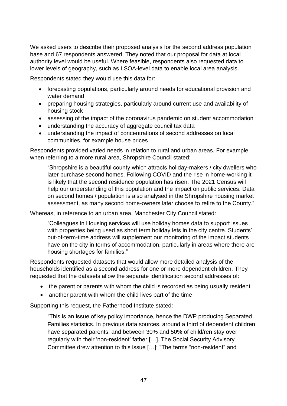We asked users to describe their proposed analysis for the second address population base and 67 respondents answered. They noted that our proposal for data at local authority level would be useful. Where feasible, respondents also requested data to lower levels of geography, such as LSOA-level data to enable local area analysis.

Respondents stated they would use this data for:

- forecasting populations, particularly around needs for educational provision and water demand
- preparing housing strategies, particularly around current use and availability of housing stock
- assessing of the impact of the coronavirus pandemic on student accommodation
- understanding the accuracy of aggregate council tax data
- understanding the impact of concentrations of second addresses on local communities, for example house prices

Respondents provided varied needs in relation to rural and urban areas. For example, when referring to a more rural area, Shropshire Council stated:

"Shropshire is a beautiful county which attracts holiday-makers / city dwellers who later purchase second homes. Following COVID and the rise in home-working it is likely that the second residence population has risen. The 2021 Census will help our understanding of this population and the impact on public services. Data on second homes / population is also analysed in the Shropshire housing market assessment, as many second home-owners later choose to retire to the County."

Whereas, in reference to an urban area, Manchester City Council stated:

"Colleagues in Housing services will use holiday homes data to support issues with properties being used as short term holiday lets in the city centre. Students' out-of-term-time address will supplement our monitoring of the impact students have on the city in terms of accommodation, particularly in areas where there are housing shortages for families."

Respondents requested datasets that would allow more detailed analysis of the households identified as a second address for one or more dependent children. They requested that the datasets allow the separate identification second addresses of:

- the parent or parents with whom the child is recorded as being usually resident
- another parent with whom the child lives part of the time

Supporting this request, the Fatherhood Institute stated:

"This is an issue of key policy importance, hence the DWP producing Separated Families statistics. In previous data sources, around a third of dependent children have separated parents; and between 30% and 50% of child/ren stay over regularly with their 'non-resident' father […]. The Social Security Advisory Committee drew attention to this issue […]: "The terms "non-resident" and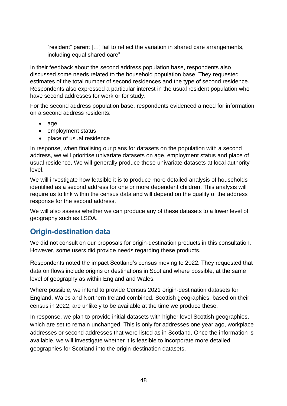"resident" parent […] fail to reflect the variation in shared care arrangements, including equal shared care"

In their feedback about the second address population base, respondents also discussed some needs related to the household population base. They requested estimates of the total number of second residences and the type of second residence. Respondents also expressed a particular interest in the usual resident population who have second addresses for work or for study.

For the second address population base, respondents evidenced a need for information on a second address residents:

- age
- employment status
- place of usual residence

In response, when finalising our plans for datasets on the population with a second address, we will prioritise univariate datasets on age, employment status and place of usual residence. We will generally produce these univariate datasets at local authority level.

We will investigate how feasible it is to produce more detailed analysis of households identified as a second address for one or more dependent children. This analysis will require us to link within the census data and will depend on the quality of the address response for the second address.

We will also assess whether we can produce any of these datasets to a lower level of geography such as LSOA.

# **Origin-destination data**

We did not consult on our proposals for origin-destination products in this consultation. However, some users did provide needs regarding these products.

Respondents noted the impact Scotland's census moving to 2022. They requested that data on flows include origins or destinations in Scotland where possible, at the same level of geography as within England and Wales.

Where possible, we intend to provide Census 2021 origin-destination datasets for England, Wales and Northern Ireland combined. Scottish geographies, based on their census in 2022, are unlikely to be available at the time we produce these.

In response, we plan to provide initial datasets with higher level Scottish geographies, which are set to remain unchanged. This is only for addresses one year ago, workplace addresses or second addresses that were listed as in Scotland. Once the information is available, we will investigate whether it is feasible to incorporate more detailed geographies for Scotland into the origin-destination datasets.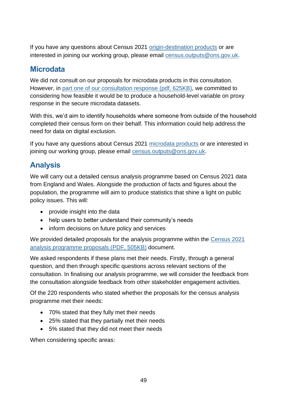If you have any questions about Census 2021 [origin-destination products](https://www.ons.gov.uk/census/censustransformationprogramme/census2021outputs/2021dataproducts/origindestination) or are interested in joining our working group, please email [census.outputs@ons.gov.uk.](mailto:census.outputs@ons.gov.uk)

# **Microdata**

We did not consult on our proposals for microdata products in this consultation. However, in [part one of our consultation response](https://consultations.ons.gov.uk/external-affairs/census-2021-outputs-consultation/results/census2021outputsconsultationresponse-partone.pdf) (pdf, 625KB), we committed to considering how feasible it would be to produce a household-level variable on proxy response in the secure microdata datasets.

With this, we'd aim to identify households where someone from outside of the household completed their census form on their behalf. This information could help address the need for data on digital exclusion.

If you have any questions about Census 2021 [microdata products](https://www.ons.gov.uk/census/censustransformationprogramme/census2021outputs/2021dataproducts/microdata) or are interested in joining our working group, please email [census.outputs@ons.gov.uk.](mailto:census.outputs@ons.gov.uk)

# **Analysis**

We will carry out a detailed census analysis programme based on Census 2021 data from England and Wales. Alongside the production of facts and figures about the population, the programme will aim to produce statistics that shine a light on public policy issues. This will:

- provide insight into the data
- help users to better understand their community's needs
- inform decisions on future policy and services

We provided detailed proposals for the analysis programme within the [Census 2021](https://consultations.ons.gov.uk/external-affairs/census-2021-outputs-consultation/supporting_documents/Census%202021%20analysis%20programme%20proposals.pdf)  [analysis programme proposals \(PDF, 505KB\)](https://consultations.ons.gov.uk/external-affairs/census-2021-outputs-consultation/supporting_documents/Census%202021%20analysis%20programme%20proposals.pdf) document.

We asked respondents if these plans met their needs. Firstly, through a general question, and then through specific questions across relevant sections of the consultation. In finalising our analysis programme, we will consider the feedback from the consultation alongside feedback from other stakeholder engagement activities.

Of the 220 respondents who stated whether the proposals for the census analysis programme met their needs:

- 70% stated that they fully met their needs
- 25% stated that they partially met their needs
- 5% stated that they did not meet their needs

When considering specific areas: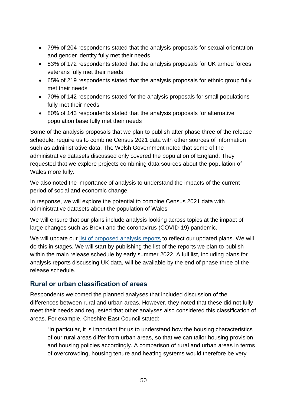- 79% of 204 respondents stated that the analysis proposals for sexual orientation and gender identity fully met their needs
- 83% of 172 respondents stated that the analysis proposals for UK armed forces veterans fully met their needs
- 65% of 219 respondents stated that the analysis proposals for ethnic group fully met their needs
- 70% of 142 respondents stated for the analysis proposals for small populations fully met their needs
- 80% of 143 respondents stated that the analysis proposals for alternative population base fully met their needs

Some of the analysis proposals that we plan to publish after phase three of the release schedule, require us to combine Census 2021 data with other sources of information such as administrative data. The Welsh Government noted that some of the administrative datasets discussed only covered the population of England. They requested that we explore projects combining data sources about the population of Wales more fully.

We also noted the importance of analysis to understand the impacts of the current period of social and economic change.

In response, we will explore the potential to combine Census 2021 data with administrative datasets about the population of Wales

We will ensure that our plans include analysis looking across topics at the impact of large changes such as Brexit and the coronavirus (COVID-19) pandemic.

We will update our [list of proposed analysis reports](https://www.ons.gov.uk/census/censustransformationprogramme/census2021outputs/2021dataproducts/analysis) to reflect our updated plans. We will do this in stages. We will start by publishing the list of the reports we plan to publish within the main release schedule by early summer 2022. A full list, including plans for analysis reports discussing UK data, will be available by the end of phase three of the release schedule.

# **Rural or urban classification of areas**

Respondents welcomed the planned analyses that included discussion of the differences between rural and urban areas. However, they noted that these did not fully meet their needs and requested that other analyses also considered this classification of areas. For example, Cheshire East Council stated:

"In particular, it is important for us to understand how the housing characteristics of our rural areas differ from urban areas, so that we can tailor housing provision and housing policies accordingly. A comparison of rural and urban areas in terms of overcrowding, housing tenure and heating systems would therefore be very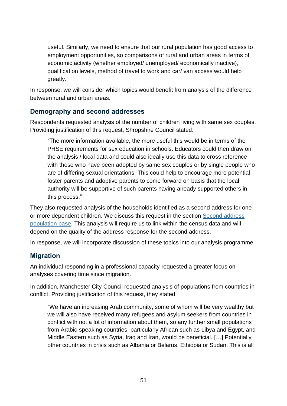useful. Similarly, we need to ensure that our rural population has good access to employment opportunities, so comparisons of rural and urban areas in terms of economic activity (whether employed/ unemployed/ economically inactive), qualification levels, method of travel to work and car/ van access would help greatly."

In response, we will consider which topics would benefit from analysis of the difference between rural and urban areas.

## **Demography and second addresses**

Respondents requested analysis of the number of children living with same sex couples. Providing justification of this request, Shropshire Council stated:

"The more information available, the more useful this would be in terms of the PHSE requirements for sex education in schools. Educators could then draw on the analysis / local data and could also ideally use this data to cross reference with those who have been adopted by same sex couples or by single people who are of differing sexual orientations. This could help to encourage more potential foster parents and adoptive parents to come forward on basis that the local authority will be supportive of such parents having already supported others in this process."

They also requested analysis of the households identified as a second address for one or more dependent children. We discuss this request in the section Second address [population base.](#page-46-0) This analysis will require us to link within the census data and will depend on the quality of the address response for the second address.

In response, we will incorporate discussion of these topics into our analysis programme.

# **Migration**

An individual responding in a professional capacity requested a greater focus on analyses covering time since migration.

In addition, Manchester City Council requested analysis of populations from countries in conflict. Providing justification of this request, they stated:

"We have an increasing Arab community, some of whom will be very wealthy but we will also have received many refugees and asylum seekers from countries in conflict with not a lot of information about them, so any further small populations from Arabic-speaking countries, particularly African such as Libya and Egypt, and Middle Eastern such as Syria, Iraq and Iran, would be beneficial. […] Potentially other countries in crisis such as Albania or Belarus, Ethiopia or Sudan. This is all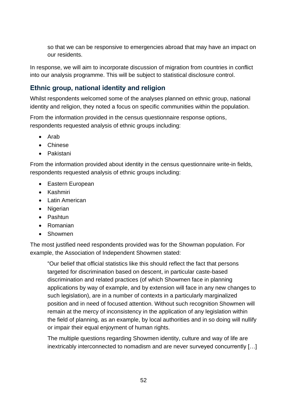so that we can be responsive to emergencies abroad that may have an impact on our residents.

In response, we will aim to incorporate discussion of migration from countries in conflict into our analysis programme. This will be subject to statistical disclosure control.

# **Ethnic group, national identity and religion**

Whilst respondents welcomed some of the analyses planned on ethnic group, national identity and religion, they noted a focus on specific communities within the population.

From the information provided in the census questionnaire response options, respondents requested analysis of ethnic groups including:

- Arab
- Chinese
- Pakistani

From the information provided about identity in the census questionnaire write-in fields, respondents requested analysis of ethnic groups including:

- Eastern European
- Kashmiri
- Latin American
- Nigerian
- Pashtun
- Romanian
- Showmen

The most justified need respondents provided was for the Showman population. For example, the Association of Independent Showmen stated:

"Our belief that official statistics like this should reflect the fact that persons targeted for discrimination based on descent, in particular caste-based discrimination and related practices (of which Showmen face in planning applications by way of example, and by extension will face in any new changes to such legislation), are in a number of contexts in a particularly marginalized position and in need of focused attention. Without such recognition Showmen will remain at the mercy of inconsistency in the application of any legislation within the field of planning, as an example, by local authorities and in so doing will nullify or impair their equal enjoyment of human rights.

The multiple questions regarding Showmen identity, culture and way of life are inextricably interconnected to nomadism and are never surveyed concurrently […]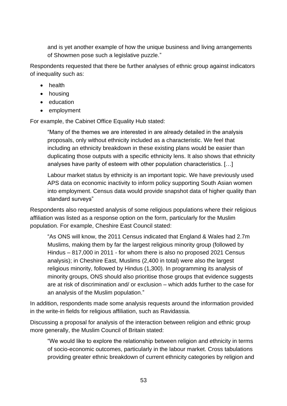and is yet another example of how the unique business and living arrangements of Showmen pose such a legislative puzzle."

Respondents requested that there be further analyses of ethnic group against indicators of inequality such as:

- health
- housing
- education
- employment

For example, the Cabinet Office Equality Hub stated:

"Many of the themes we are interested in are already detailed in the analysis proposals, only without ethnicity included as a characteristic. We feel that including an ethnicity breakdown in these existing plans would be easier than duplicating those outputs with a specific ethnicity lens. It also shows that ethnicity analyses have parity of esteem with other population characteristics. […]

Labour market status by ethnicity is an important topic. We have previously used APS data on economic inactivity to inform policy supporting South Asian women into employment. Census data would provide snapshot data of higher quality than standard surveys"

Respondents also requested analysis of some religious populations where their religious affiliation was listed as a response option on the form, particularly for the Muslim population. For example, Cheshire East Council stated:

"As ONS will know, the 2011 Census indicated that England & Wales had 2.7m Muslims, making them by far the largest religious minority group (followed by Hindus – 817,000 in 2011 - for whom there is also no proposed 2021 Census analysis); in Cheshire East, Muslims (2,400 in total) were also the largest religious minority, followed by Hindus (1,300). In programming its analysis of minority groups, ONS should also prioritise those groups that evidence suggests are at risk of discrimination and/ or exclusion – which adds further to the case for an analysis of the Muslim population."

In addition, respondents made some analysis requests around the information provided in the write-in fields for religious affiliation, such as Ravidassia.

Discussing a proposal for analysis of the interaction between religion and ethnic group more generally, the Muslim Council of Britain stated:

"We would like to explore the relationship between religion and ethnicity in terms of socio-economic outcomes, particularly in the labour market. Cross tabulations providing greater ethnic breakdown of current ethnicity categories by religion and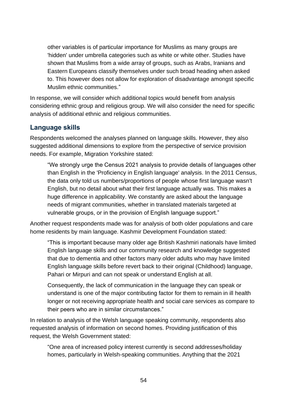other variables is of particular importance for Muslims as many groups are 'hidden' under umbrella categories such as white or white other. Studies have shown that Muslims from a wide array of groups, such as Arabs, Iranians and Eastern Europeans classify themselves under such broad heading when asked to. This however does not allow for exploration of disadvantage amongst specific Muslim ethnic communities."

In response, we will consider which additional topics would benefit from analysis considering ethnic group and religious group. We will also consider the need for specific analysis of additional ethnic and religious communities.

## **Language skills**

Respondents welcomed the analyses planned on language skills. However, they also suggested additional dimensions to explore from the perspective of service provision needs. For example, Migration Yorkshire stated:

"We strongly urge the Census 2021 analysis to provide details of languages other than English in the 'Proficiency in English language' analysis. In the 2011 Census, the data only told us numbers/proportions of people whose first language wasn't English, but no detail about what their first language actually was. This makes a huge difference in applicability. We constantly are asked about the language needs of migrant communities, whether in translated materials targeted at vulnerable groups, or in the provision of English language support."

Another request respondents made was for analysis of both older populations and care home residents by main language. Kashmir Development Foundation stated:

"This is important because many older age British Kashmiri nationals have limited English language skills and our community research and knowledge suggested that due to dementia and other factors many older adults who may have limited English language skills before revert back to their original (Childhood) language, Pahari or Mirpuri and can not speak or understand English at all.

Consequently, the lack of communication in the language they can speak or understand is one of the major contributing factor for them to remain in ill health longer or not receiving appropriate health and social care services as compare to their peers who are in similar circumstances."

In relation to analysis of the Welsh language speaking community, respondents also requested analysis of information on second homes. Providing justification of this request, the Welsh Government stated:

"One area of increased policy interest currently is second addresses/holiday homes, particularly in Welsh-speaking communities. Anything that the 2021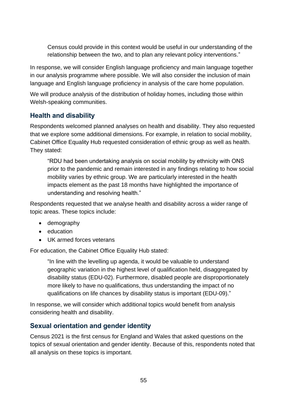Census could provide in this context would be useful in our understanding of the relationship between the two, and to plan any relevant policy interventions."

In response, we will consider English language proficiency and main language together in our analysis programme where possible. We will also consider the inclusion of main language and English language proficiency in analysis of the care home population.

We will produce analysis of the distribution of holiday homes, including those within Welsh-speaking communities.

# **Health and disability**

Respondents welcomed planned analyses on health and disability. They also requested that we explore some additional dimensions. For example, in relation to social mobility, Cabinet Office Equality Hub requested consideration of ethnic group as well as health. They stated:

"RDU had been undertaking analysis on social mobility by ethnicity with ONS prior to the pandemic and remain interested in any findings relating to how social mobility varies by ethnic group. We are particularly interested in the health impacts element as the past 18 months have highlighted the importance of understanding and resolving health."

Respondents requested that we analyse health and disability across a wider range of topic areas. These topics include:

- demography
- education
- UK armed forces veterans

For education, the Cabinet Office Equality Hub stated:

"In line with the levelling up agenda, it would be valuable to understand geographic variation in the highest level of qualification held, disaggregated by disability status (EDU-02). Furthermore, disabled people are disproportionately more likely to have no qualifications, thus understanding the impact of no qualifications on life chances by disability status is important (EDU-09)."

In response, we will consider which additional topics would benefit from analysis considering health and disability.

### **Sexual orientation and gender identity**

Census 2021 is the first census for England and Wales that asked questions on the topics of sexual orientation and gender identity. Because of this, respondents noted that all analysis on these topics is important.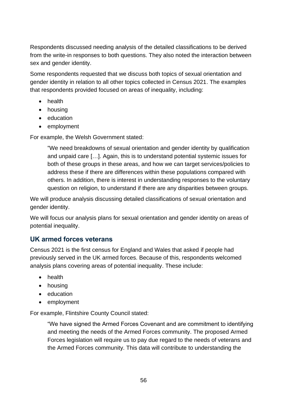Respondents discussed needing analysis of the detailed classifications to be derived from the write-in responses to both questions. They also noted the interaction between sex and gender identity.

Some respondents requested that we discuss both topics of sexual orientation and gender identity in relation to all other topics collected in Census 2021. The examples that respondents provided focused on areas of inequality, including:

- health
- housing
- education
- employment

For example, the Welsh Government stated:

"We need breakdowns of sexual orientation and gender identity by qualification and unpaid care […]. Again, this is to understand potential systemic issues for both of these groups in these areas, and how we can target services/policies to address these if there are differences within these populations compared with others. In addition, there is interest in understanding responses to the voluntary question on religion, to understand if there are any disparities between groups.

We will produce analysis discussing detailed classifications of sexual orientation and gender identity.

We will focus our analysis plans for sexual orientation and gender identity on areas of potential inequality.

### **UK armed forces veterans**

Census 2021 is the first census for England and Wales that asked if people had previously served in the UK armed forces. Because of this, respondents welcomed analysis plans covering areas of potential inequality. These include:

- health
- housing
- education
- employment

For example, Flintshire County Council stated:

"We have signed the Armed Forces Covenant and are commitment to identifying and meeting the needs of the Armed Forces community. The proposed Armed Forces legislation will require us to pay due regard to the needs of veterans and the Armed Forces community. This data will contribute to understanding the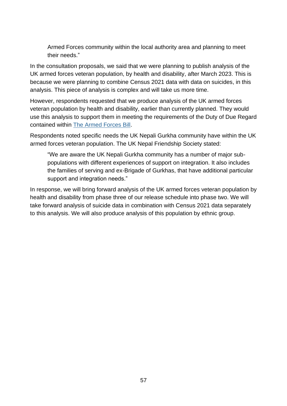Armed Forces community within the local authority area and planning to meet their needs."

In the consultation proposals, we said that we were planning to publish analysis of the UK armed forces veteran population, by health and disability, after March 2023. This is because we were planning to combine Census 2021 data with data on suicides, in this analysis. This piece of analysis is complex and will take us more time.

However, respondents requested that we produce analysis of the UK armed forces veteran population by health and disability, earlier than currently planned. They would use this analysis to support them in meeting the requirements of the Duty of Due Regard contained within [The Armed Forces Bill.](https://publications.parliament.uk/pa/cm5801/cmselect/cmarmed/1281/128102.htm)

Respondents noted specific needs the UK Nepali Gurkha community have within the UK armed forces veteran population. The UK Nepal Friendship Society stated:

"We are aware the UK Nepali Gurkha community has a number of major subpopulations with different experiences of support on integration. It also includes the families of serving and ex-Brigade of Gurkhas, that have additional particular support and integration needs."

In response, we will bring forward analysis of the UK armed forces veteran population by health and disability from phase three of our release schedule into phase two. We will take forward analysis of suicide data in combination with Census 2021 data separately to this analysis. We will also produce analysis of this population by ethnic group.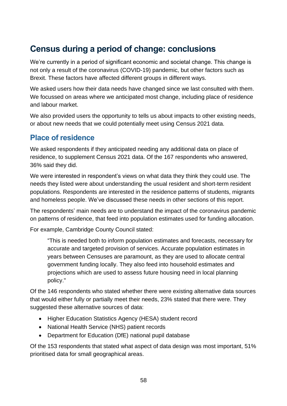# <span id="page-58-0"></span>**Census during a period of change: conclusions**

We're currently in a period of significant economic and societal change. This change is not only a result of the coronavirus (COVID-19) pandemic, but other factors such as Brexit. These factors have affected different groups in different ways.

We asked users how their data needs have changed since we last consulted with them. We focussed on areas where we anticipated most change, including place of residence and labour market.

We also provided users the opportunity to tells us about impacts to other existing needs, or about new needs that we could potentially meet using Census 2021 data.

# **Place of residence**

We asked respondents if they anticipated needing any additional data on place of residence, to supplement Census 2021 data. Of the 167 respondents who answered, 36% said they did.

We were interested in respondent's views on what data they think they could use. The needs they listed were about understanding the usual resident and short-term resident populations. Respondents are interested in the residence patterns of students, migrants and homeless people. We've discussed these needs in other sections of this report.

The respondents' main needs are to understand the impact of the coronavirus pandemic on patterns of residence, that feed into population estimates used for funding allocation.

For example, Cambridge County Council stated:

"This is needed both to inform population estimates and forecasts, necessary for accurate and targeted provision of services. Accurate population estimates in years between Censuses are paramount, as they are used to allocate central government funding locally. They also feed into household estimates and projections which are used to assess future housing need in local planning policy."

Of the 146 respondents who stated whether there were existing alternative data sources that would either fully or partially meet their needs, 23% stated that there were. They suggested these alternative sources of data:

- Higher Education Statistics Agency (HESA) student record
- National Health Service (NHS) patient records
- Department for Education (DfE) national pupil database

Of the 153 respondents that stated what aspect of data design was most important, 51% prioritised data for small geographical areas.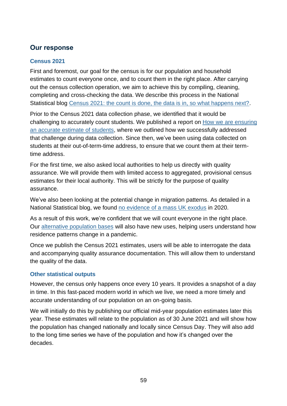## **Our response**

### **Census 2021**

First and foremost, our goal for the census is for our population and household estimates to count everyone once, and to count them in the right place. After carrying out the census collection operation, we aim to achieve this by compiling, cleaning, completing and cross-checking the data. We describe this process in the National Statistical blog Census 2021: [the count is done, the data is in, so what happens next?.](https://blog.ons.gov.uk/2021/10/12/census-2021-the-count-is-done-the-data-is-in-so-what-happens-next/)

Prior to the Census 2021 data collection phase, we identified that it would be challenging to accurately count students. We published a report on How we are ensuring [an accurate estimate of students,](https://www.ons.gov.uk/census/censustransformationprogramme/censusdesign/census2021howweareensuringanaccurateestimateofstudents) where we outlined how we successfully addressed that challenge during data collection. Since then, we've been using data collected on students at their out-of-term-time address, to ensure that we count them at their termtime address.

For the first time, we also asked local authorities to help us directly with quality assurance. We will provide them with limited access to aggregated, provisional census estimates for their local authority. This will be strictly for the purpose of quality assurance.

We've also been looking at the potential change in migration patterns. As detailed in a National Statistical blog, we found [no evidence of a mass UK exodus](https://blog.ons.gov.uk/2021/11/25/experimental-migration-data-no-evidence-of-uk-exodus/) in 2020.

As a result of this work, we're confident that we will count everyone in the right place. Our [alternative population bases](#page-42-0) will also have new uses, helping users understand how residence patterns change in a pandemic.

Once we publish the Census 2021 estimates, users will be able to interrogate the data and accompanying quality assurance documentation. This will allow them to understand the quality of the data.

#### **Other statistical outputs**

However, the census only happens once every 10 years. It provides a snapshot of a day in time. In this fast-paced modern world in which we live, we need a more timely and accurate understanding of our population on an on-going basis.

We will initially do this by publishing our official mid-year population estimates later this year. These estimates will relate to the population as of 30 June 2021 and will show how the population has changed nationally and locally since Census Day. They will also add to the long time series we have of the population and how it's changed over the decades.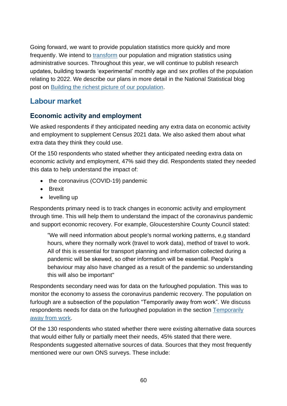Going forward, we want to provide population statistics more quickly and more frequently. We intend to [transform](https://blog.ons.gov.uk/2021/11/22/providing-faster-and-better-estimates-of-the-population/) our population and migration statistics using administrative sources. Throughout this year, we will continue to publish research updates, building towards 'experimental' monthly age and sex profiles of the population relating to 2022. We describe our plans in more detail in the National Statistical blog post on [Building the richest picture of our population.](https://blog.ons.gov.uk/2022/01/28/building-the-richest-picture-of-our-population/)

# **Labour market**

## **Economic activity and employment**

We asked respondents if they anticipated needing any extra data on economic activity and employment to supplement Census 2021 data. We also asked them about what extra data they think they could use.

Of the 150 respondents who stated whether they anticipated needing extra data on economic activity and employment, 47% said they did. Respondents stated they needed this data to help understand the impact of:

- the coronavirus (COVID-19) pandemic
- Brexit
- levelling up

Respondents primary need is to track changes in economic activity and employment through time. This will help them to understand the impact of the coronavirus pandemic and support economic recovery. For example, Gloucestershire County Council stated:

"We will need information about people's normal working patterns, e,g standard hours, where they normally work (travel to work data), method of travel to work. All of this is essential for transport planning and information collected during a pandemic will be skewed, so other information will be essential. People's behaviour may also have changed as a result of the pandemic so understanding this will also be important"

Respondents secondary need was for data on the furloughed population. This was to monitor the economy to assess the coronavirus pandemic recovery. The population on furlough are a subsection of the population "Temporarily away from work". We discuss respondents needs for data on the furloughed population in the section [Temporarily](#page-22-0) [away from work.](#page-22-0)

Of the 130 respondents who stated whether there were existing alternative data sources that would either fully or partially meet their needs, 45% stated that there were. Respondents suggested alternative sources of data. Sources that they most frequently mentioned were our own ONS surveys. These include: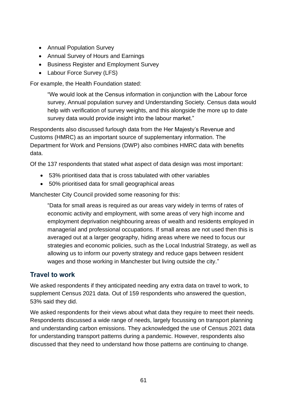- Annual Population Survey
- Annual Survey of Hours and Earnings
- Business Register and Employment Survey
- Labour Force Survey (LFS)

For example, the Health Foundation stated:

"We would look at the Census information in conjunction with the Labour force survey, Annual population survey and Understanding Society. Census data would help with verification of survey weights, and this alongside the more up to date survey data would provide insight into the labour market."

Respondents also discussed furlough data from the Her Majesty's Revenue and Customs (HMRC) as an important source of supplementary information. The Department for Work and Pensions (DWP) also combines HMRC data with benefits data.

Of the 137 respondents that stated what aspect of data design was most important:

- 53% prioritised data that is cross tabulated with other variables
- 50% prioritised data for small geographical areas

Manchester City Council provided some reasoning for this:

"Data for small areas is required as our areas vary widely in terms of rates of economic activity and employment, with some areas of very high income and employment deprivation neighbouring areas of wealth and residents employed in managerial and professional occupations. If small areas are not used then this is averaged out at a larger geography, hiding areas where we need to focus our strategies and economic policies, such as the Local Industrial Strategy, as well as allowing us to inform our poverty strategy and reduce gaps between resident wages and those working in Manchester but living outside the city."

### **Travel to work**

We asked respondents if they anticipated needing any extra data on travel to work, to supplement Census 2021 data. Out of 159 respondents who answered the question, 53% said they did.

We asked respondents for their views about what data they require to meet their needs. Respondents discussed a wide range of needs, largely focussing on transport planning and understanding carbon emissions. They acknowledged the use of Census 2021 data for understanding transport patterns during a pandemic. However, respondents also discussed that they need to understand how those patterns are continuing to change.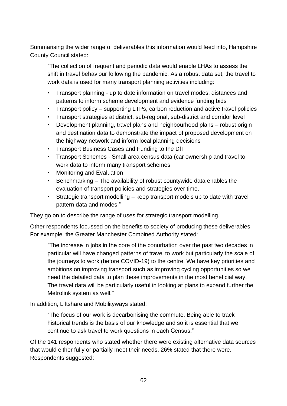Summarising the wider range of deliverables this information would feed into, Hampshire County Council stated:

"The collection of frequent and periodic data would enable LHAs to assess the shift in travel behaviour following the pandemic. As a robust data set, the travel to work data is used for many transport planning activities including:

- Transport planning up to date information on travel modes, distances and patterns to inform scheme development and evidence funding bids
- Transport policy supporting LTPs, carbon reduction and active travel policies
- Transport strategies at district, sub-regional, sub-district and corridor level
- Development planning, travel plans and neighbourhood plans robust origin and destination data to demonstrate the impact of proposed development on the highway network and inform local planning decisions
- Transport Business Cases and Funding to the DfT
- Transport Schemes Small area census data (car ownership and travel to work data to inform many transport schemes
- Monitoring and Evaluation
- Benchmarking The availability of robust countywide data enables the evaluation of transport policies and strategies over time.
- Strategic transport modelling keep transport models up to date with travel pattern data and modes."

They go on to describe the range of uses for strategic transport modelling.

Other respondents focussed on the benefits to society of producing these deliverables. For example, the Greater Manchester Combined Authority stated:

"The increase in jobs in the core of the conurbation over the past two decades in particular will have changed patterns of travel to work but particularly the scale of the journeys to work (before COVID-19) to the centre. We have key priorities and ambitions on improving transport such as improving cycling opportunities so we need the detailed data to plan these improvements in the most beneficial way. The travel data will be particularly useful in looking at plans to expand further the Metrolink system as well."

In addition, Liftshare and Mobilityways stated:

"The focus of our work is decarbonising the commute. Being able to track historical trends is the basis of our knowledge and so it is essential that we continue to ask travel to work questions in each Census."

Of the 141 respondents who stated whether there were existing alternative data sources that would either fully or partially meet their needs, 26% stated that there were. Respondents suggested: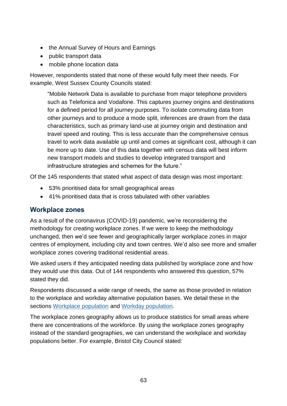- the Annual Survey of Hours and Earnings
- public transport data
- mobile phone location data

However, respondents stated that none of these would fully meet their needs. For example, West Sussex County Councils stated:

"Mobile Network Data is available to purchase from major telephone providers such as Telefonica and Vodafone. This captures journey origins and destinations for a defined period for all journey purposes. To isolate commuting data from other journeys and to produce a mode split, inferences are drawn from the data characteristics, such as primary land-use at journey origin and destination and travel speed and routing. This is less accurate than the comprehensive census travel to work data available up until and comes at significant cost, although it can be more up to date. Use of this data together with census data will best inform new transport models and studies to develop integrated transport and infrastructure strategies and schemes for the future."

Of the 145 respondents that stated what aspect of data design was most important:

- 53% prioritised data for small geographical areas
- 41% prioritised data that is cross tabulated with other variables

### **Workplace zones**

As a result of the coronavirus (COVID-19) pandemic, we're reconsidering the methodology for creating workplace zones. If we were to keep the methodology unchanged, then we'd see fewer and geographically larger workplace zones in major centres of employment, including city and town centres. We'd also see more and smaller workplace zones covering traditional residential areas.

We asked users if they anticipated needing data published by workplace zone and how they would use this data. Out of 144 respondents who answered this question, 57% stated they did.

Respondents discussed a wide range of needs, the same as those provided in relation to the workplace and workday alternative population bases. We detail these in the sections [Workplace population](#page-43-0) and [Workday population.](#page-44-0)

The workplace zones geography allows us to produce statistics for small areas where there are concentrations of the workforce. By using the workplace zones geography instead of the standard geographies, we can understand the workplace and workday populations better. For example, Bristol City Council stated: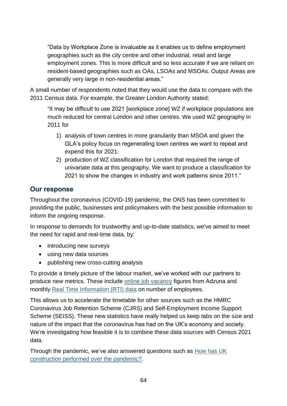"Data by Workplace Zone is invaluable as it enables us to define employment geographies such as the city centre and other industrial, retail and large employment zones. This is more difficult and so less accurate if we are reliant on resident-based geographies such as OAs, LSOAs and MSOAs. Output Areas are generally very large in non-residential areas."

A small number of respondents noted that they would use the data to compare with the 2011 Census data. For example, the Greater London Authority stated:

"It may be difficult to use 2021 [workplace zone] WZ if workplace populations are much reduced for central London and other centres. We used WZ geography in 2011 for

- 1) analysis of town centres in more granularity than MSOA and given the GLA's policy focus on regenerating town centres we want to repeat and expend this for 2021.
- 2) production of WZ classification for London that required the range of univariate data at this geography. We want to produce a classification for 2021 to show the changes in industry and work patterns since 2011."

## **Our response**

Throughout the coronavirus (COVID-19) pandemic, the ONS has been committed to providing the public, businesses and policymakers with the best possible information to inform the ongoing response.

In response to demands for trustworthy and up-to-date statistics, we've aimed to meet the need for rapid and real-time data, by:

- introducing new surveys
- using new data sources
- publishing new cross-cutting analysis

To provide a timely picture of the labour market, we've worked with our partners to produce new metrics. These include [online job vacancy](https://www.ons.gov.uk/economy/economicoutputandproductivity/output/bulletins/economicactivityandsocialchangeintheukrealtimeindicators/latest#online-job-adverts) figures from Adzuna and monthly [Real Time Information \(RTI\) data](https://www.ons.gov.uk/employmentandlabourmarket/peopleinwork/earningsandworkinghours/bulletins/earningsandemploymentfrompayasyouearnrealtimeinformationuk/latest) on number of employees.

This allows us to accelerate the timetable for other sources such as the HMRC Coronavirus Job Retention Scheme (CJRS) and Self-Employment Income Support Scheme (SEISS). These new statistics have really helped us keep tabs on the size and nature of the impact that the coronavirus has had on the UK's economy and society. We're investigating how feasible it is to combine these data sources with Census 2021 data.

Through the pandemic, we've also answered questions such as [How has UK](https://blog.ons.gov.uk/2021/10/19/how-has-uk-construction-performed-over-the-pandemic/)  [construction performed over the pandemic?.](https://blog.ons.gov.uk/2021/10/19/how-has-uk-construction-performed-over-the-pandemic/)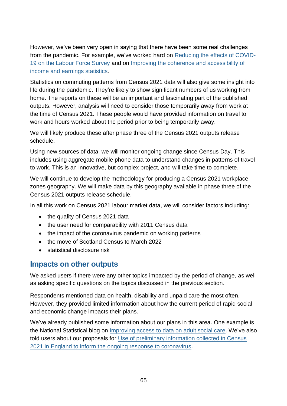However, we've been very open in saying that there have been some real challenges from the pandemic. For example, we've worked hard on [Reducing the effects of COVID-](https://blog.ons.gov.uk/2021/07/08/carry-that-weight-reducing-the-effects-of-covid-19-on-the-labour-force-survey/)[19 on the Labour Force Survey](https://blog.ons.gov.uk/2021/07/08/carry-that-weight-reducing-the-effects-of-covid-19-on-the-labour-force-survey/) and on [Improving the coherence and accessibility of](https://blog.ons.gov.uk/2021/10/14/improving-the-coherence-and-accessibility-of-income-and-earnings-statistics/)  [income and earnings statistics.](https://blog.ons.gov.uk/2021/10/14/improving-the-coherence-and-accessibility-of-income-and-earnings-statistics/)

Statistics on commuting patterns from Census 2021 data will also give some insight into life during the pandemic. They're likely to show significant numbers of us working from home. The reports on these will be an important and fascinating part of the published outputs. However, analysis will need to consider those temporarily away from work at the time of Census 2021. These people would have provided information on travel to work and hours worked about the period prior to being temporarily away.

We will likely produce these after phase three of the Census 2021 outputs release schedule.

Using new sources of data, we will monitor ongoing change since Census Day. This includes using aggregate mobile phone data to understand changes in patterns of travel to work. This is an innovative, but complex project, and will take time to complete.

We will continue to develop the methodology for producing a Census 2021 workplace zones geography. We will make data by this geography available in phase three of the Census 2021 outputs release schedule.

In all this work on Census 2021 labour market data, we will consider factors including:

- the quality of Census 2021 data
- the user need for comparability with 2011 Census data
- the impact of the coronavirus pandemic on working patterns
- the move of Scotland Census to March 2022
- statistical disclosure risk

# **Impacts on other outputs**

We asked users if there were any other topics impacted by the period of change, as well as asking specific questions on the topics discussed in the previous section.

Respondents mentioned data on health, disability and unpaid care the most often. However, they provided limited information about how the current period of rapid social and economic change impacts their plans.

We've already published some information about our plans in this area. One example is the National Statistical blog on [Improving access to data on adult social care.](https://blog.ons.gov.uk/2022/01/25/improving-access-to-data-on-adult-social-care/) We've also told users about our proposals for [Use of preliminary information collected in Census](https://www.ons.gov.uk/news/statementsandletters/useofpreliminaryinformationcollectedincensus2021inenglandtoinformtheongoingresponsetocoronavirus)  [2021 in England to inform the ongoing response to coronavirus.](https://www.ons.gov.uk/news/statementsandletters/useofpreliminaryinformationcollectedincensus2021inenglandtoinformtheongoingresponsetocoronavirus)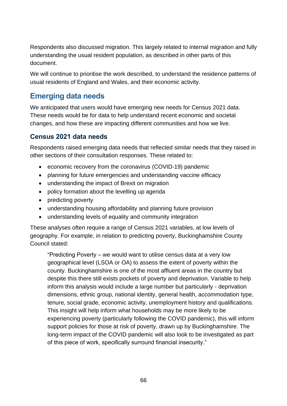Respondents also discussed migration. This largely related to internal migration and fully understanding the usual resident population, as described in other parts of this document.

We will continue to prioritise the work described, to understand the residence patterns of usual residents of England and Wales, and their economic activity.

# **Emerging data needs**

We anticipated that users would have emerging new needs for Census 2021 data. These needs would be for data to help understand recent economic and societal changes, and how these are impacting different communities and how we live.

## **Census 2021 data needs**

Respondents raised emerging data needs that reflected similar needs that they raised in other sections of their consultation responses. These related to:

- economic recovery from the coronavirus (COVID-19) pandemic
- planning for future emergencies and understanding vaccine efficacy
- understanding the impact of Brexit on migration
- policy formation about the levelling up agenda
- predicting poverty
- understanding housing affordability and planning future provision
- understanding levels of equality and community integration

These analyses often require a range of Census 2021 variables, at low levels of geography. For example, in relation to predicting poverty, Buckinghamshire County Council stated:

"Predicting Poverty – we would want to utilise census data at a very low geographical level (LSOA or OA) to assess the extent of poverty within the county. Buckinghamshire is one of the most affluent areas in the country but despite this there still exists pockets of poverty and deprivation. Variable to help inform this analysis would include a large number but particularly - deprivation dimensions, ethnic group, national identity, general health, accommodation type, tenure, social grade, economic activity, unemployment history and qualifications. This insight will help inform what households may be more likely to be experiencing poverty (particularly following the COVID pandemic), this will inform support policies for those at risk of poverty, drawn up by Buckinghamshire. The long-term impact of the COVID pandemic will also look to be investigated as part of this piece of work, specifically surround financial insecurity."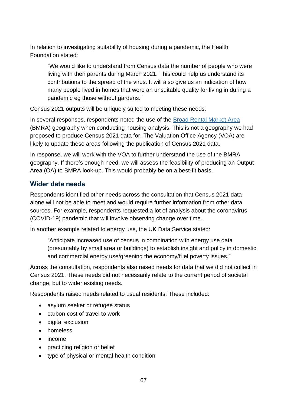In relation to investigating suitability of housing during a pandemic, the Health Foundation stated:

"We would like to understand from Census data the number of people who were living with their parents during March 2021. This could help us understand its contributions to the spread of the virus. It will also give us an indication of how many people lived in homes that were an unsuitable quality for living in during a pandemic eg those without gardens."

Census 2021 outputs will be uniquely suited to meeting these needs.

In several responses, respondents noted the use of the [Broad Rental Market Area](https://www.gov.uk/government/publications/understanding-local-housing-allowances-rates-broad-rental-market-areas) (BMRA) geography when conducting housing analysis. This is not a geography we had proposed to produce Census 2021 data for. The Valuation Office Agency (VOA) are likely to update these areas following the publication of Census 2021 data.

In response, we will work with the VOA to further understand the use of the BMRA geography. If there's enough need, we will assess the feasibility of producing an Output Area (OA) to BMRA look-up. This would probably be on a best-fit basis.

# **Wider data needs**

Respondents identified other needs across the consultation that Census 2021 data alone will not be able to meet and would require further information from other data sources. For example, respondents requested a lot of analysis about the coronavirus (COVID-19) pandemic that will involve observing change over time.

In another example related to energy use, the UK Data Service stated:

"Anticipate increased use of census in combination with energy use data (presumably by small area or buildings) to establish insight and policy in domestic and commercial energy use/greening the economy/fuel poverty issues."

Across the consultation, respondents also raised needs for data that we did not collect in Census 2021. These needs did not necessarily relate to the current period of societal change, but to wider existing needs.

Respondents raised needs related to usual residents. These included:

- asylum seeker or refugee status
- carbon cost of travel to work
- digital exclusion
- homeless
- income
- practicing religion or belief
- type of physical or mental health condition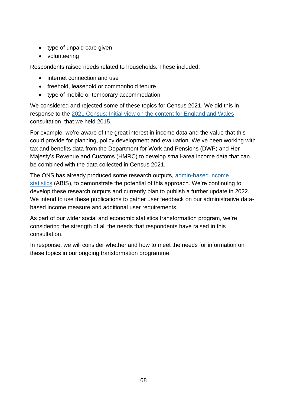- type of unpaid care given
- volunteering

Respondents raised needs related to households. These included:

- internet connection and use
- freehold, leasehold or commonhold tenure
- type of mobile or temporary accommodation

We considered and rejected some of these topics for Census 2021. We did this in response to the [2021 Census: Initial view on the content for England and Wales](https://www.ons.gov.uk/census/censustransformationprogramme/consultations/the2021censusinitialviewoncontentforenglandandwales) consultation, that we held 2015.

For example, we're aware of the great interest in income data and the value that this could provide for planning, policy development and evaluation. We've been working with tax and benefits data from the Department for Work and Pensions (DWP) and Her Majesty's Revenue and Customs (HMRC) to develop small-area income data that can be combined with the data collected in Census 2021.

The ONS has already produced some research outputs, [admin-based income](https://www.ons.gov.uk/peoplepopulationandcommunity/personalandhouseholdfinances/incomeandwealth/articles/adminbasedincomeenglandandwales/taxyearending2016revisedresults)  [statistics](https://www.ons.gov.uk/peoplepopulationandcommunity/personalandhouseholdfinances/incomeandwealth/articles/adminbasedincomeenglandandwales/taxyearending2016revisedresults) (ABIS), to demonstrate the potential of this approach. We're continuing to develop these research outputs and currently plan to publish a further update in 2022. We intend to use these publications to gather user feedback on our administrative databased income measure and additional user requirements.

As part of our wider social and economic statistics transformation program, we're considering the strength of all the needs that respondents have raised in this consultation.

In response, we will consider whether and how to meet the needs for information on these topics in our ongoing transformation programme.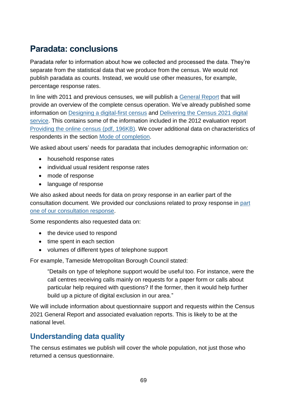# **Paradata: conclusions**

Paradata refer to information about how we collected and processed the data. They're separate from the statistical data that we produce from the census. We would not publish paradata as counts. Instead, we would use other measures, for example, percentage response rates.

In line with 2011 and previous censuses, we will publish a [General Report](https://www.ons.gov.uk/census/2011census/howourcensusworks/howdidwedoin2011/2011censusgeneralreport) that will provide an overview of the complete census operation. We've already published some information on [Designing a digital-first census](https://www.ons.gov.uk/peoplepopulationandcommunity/householdcharacteristics/homeinternetandsocialmediausage/articles/designingadigitalfirstcensus/2021-10-04) and [Delivering the Census 2021 digital](https://www.ons.gov.uk/peoplepopulationandcommunity/householdcharacteristics/homeinternetandsocialmediausage/articles/deliveringthecensus2021digitalservice/2021-10-04)  [service.](https://www.ons.gov.uk/peoplepopulationandcommunity/householdcharacteristics/homeinternetandsocialmediausage/articles/deliveringthecensus2021digitalservice/2021-10-04) This contains some of the information included in the 2012 evaluation report [Providing the online census \(pdf, 196KB\).](https://webarchive.nationalarchives.gov.uk/ukgwa/20160105160709/http:/www.ons.gov.uk/ons/guide-method/census/2011/the-2011-census/the-2011-census-project/2011-census-updates-and-evaluation-reports/2011-census-update--providing-the-online-census.pdf) We cover additional data on characteristics of respondents in the section [Mode of completion.](#page-73-0)

We asked about users' needs for paradata that includes demographic information on:

- household response rates
- individual usual resident response rates
- mode of response
- language of response

We also asked about needs for data on proxy response in an earlier part of the consultation document. We provided our conclusions related to proxy response in [part](https://consultations.ons.gov.uk/external-affairs/census-2021-outputs-consultation/results/census2021outputsconsultationresponse-partone.pdf)  [one of our consultation response.](https://consultations.ons.gov.uk/external-affairs/census-2021-outputs-consultation/results/census2021outputsconsultationresponse-partone.pdf)

Some respondents also requested data on:

- the device used to respond
- time spent in each section
- volumes of different types of telephone support

For example, Tameside Metropolitan Borough Council stated:

"Details on type of telephone support would be useful too. For instance, were the call centres receiving calls mainly on requests for a paper form or calls about particular help required with questions? If the former, then it would help further build up a picture of digital exclusion in our area."

We will include information about questionnaire support and requests within the Census 2021 General Report and associated evaluation reports. This is likely to be at the national level.

# **Understanding data quality**

The census estimates we publish will cover the whole population, not just those who returned a census questionnaire.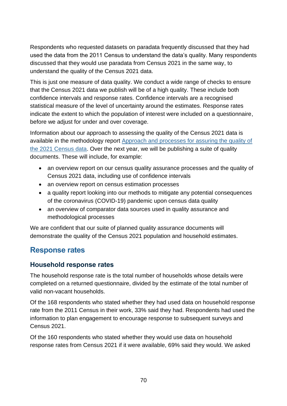Respondents who requested datasets on paradata frequently discussed that they had used the data from the 2011 Census to understand the data's quality. Many respondents discussed that they would use paradata from Census 2021 in the same way, to understand the quality of the Census 2021 data.

This is just one measure of data quality. We conduct a wide range of checks to ensure that the Census 2021 data we publish will be of a high quality. These include both confidence intervals and response rates. Confidence intervals are a recognised statistical measure of the level of uncertainty around the estimates. Response rates indicate the extent to which the population of interest were included on a questionnaire, before we adjust for under and over coverage.

Information about our approach to assessing the quality of the Census 2021 data is available in the methodology report [Approach and processes for assuring the quality of](https://www.ons.gov.uk/census/censustransformationprogramme/approachandprocessesforassuringthequalityofthe2021censusdata)  [the 2021 Census data.](https://www.ons.gov.uk/census/censustransformationprogramme/approachandprocessesforassuringthequalityofthe2021censusdata) Over the next year, we will be publishing a suite of quality documents. These will include, for example:

- an overview report on our census quality assurance processes and the quality of Census 2021 data, including use of confidence intervals
- an overview report on census estimation processes
- a quality report looking into our methods to mitigate any potential consequences of the coronavirus (COVID-19) pandemic upon census data quality
- an overview of comparator data sources used in quality assurance and methodological processes

We are confident that our suite of planned quality assurance documents will demonstrate the quality of the Census 2021 population and household estimates.

# **Response rates**

### **Household response rates**

The household response rate is the total number of households whose details were completed on a returned questionnaire, divided by the estimate of the total number of valid non-vacant households.

Of the 168 respondents who stated whether they had used data on household response rate from the 2011 Census in their work, 33% said they had. Respondents had used the information to plan engagement to encourage response to subsequent surveys and Census 2021.

Of the 160 respondents who stated whether they would use data on household response rates from Census 2021 if it were available, 69% said they would. We asked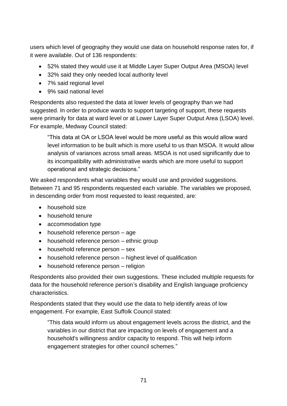users which level of geography they would use data on household response rates for, if it were available. Out of 136 respondents:

- 52% stated they would use it at Middle Layer Super Output Area (MSOA) level
- 32% said they only needed local authority level
- 7% said regional level
- 9% said national level

Respondents also requested the data at lower levels of geography than we had suggested. In order to produce wards to support targeting of support, these requests were primarily for data at ward level or at Lower Layer Super Output Area (LSOA) level. For example, Medway Council stated:

"This data at OA or LSOA level would be more useful as this would allow ward level information to be built which is more useful to us than MSOA. It would allow analysis of variances across small areas. MSOA is not used significantly due to its incompatibility with administrative wards which are more useful to support operational and strategic decisions."

We asked respondents what variables they would use and provided suggestions. Between 71 and 95 respondents requested each variable. The variables we proposed, in descending order from most requested to least requested, are:

- household size
- household tenure
- accommodation type
- household reference person age
- household reference person ethnic group
- household reference person sex
- household reference person highest level of qualification
- household reference person religion

Respondents also provided their own suggestions. These included multiple requests for data for the household reference person's disability and English language proficiency characteristics.

Respondents stated that they would use the data to help identify areas of low engagement. For example, East Suffolk Council stated:

"This data would inform us about engagement levels across the district, and the variables in our district that are impacting on levels of engagement and a household's willingness and/or capacity to respond. This will help inform engagement strategies for other council schemes."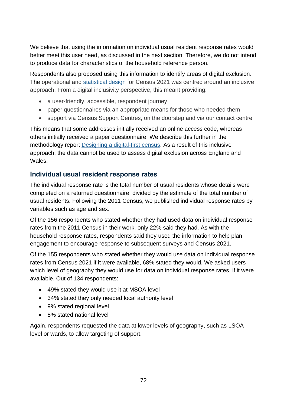We believe that using the information on individual usual resident response rates would better meet this user need, as discussed in the next section. Therefore, we do not intend to produce data for characteristics of the household reference person.

Respondents also proposed using this information to identify areas of digital exclusion. The operational and [statistical design](https://www.ons.gov.uk/census/censustransformationprogramme/censusdesign/statisticaldesignforcensus2021englandandwales) for Census 2021 was centred around an inclusive approach. From a digital inclusivity perspective, this meant providing:

- a user-friendly, accessible, respondent journey
- paper questionnaires via an appropriate means for those who needed them
- support via Census Support Centres, on the doorstep and via our contact centre

This means that some addresses initially received an online access code, whereas others initially received a paper questionnaire. We describe this further in the methodology report [Designing a digital-first census.](https://www.ons.gov.uk/peoplepopulationandcommunity/householdcharacteristics/homeinternetandsocialmediausage/articles/designingadigitalfirstcensus/2021-10-04) As a result of this inclusive approach, the data cannot be used to assess digital exclusion across England and Wales.

### **Individual usual resident response rates**

The individual response rate is the total number of usual residents whose details were completed on a returned questionnaire, divided by the estimate of the total number of usual residents. Following the 2011 Census, we published individual response rates by variables such as age and sex.

Of the 156 respondents who stated whether they had used data on individual response rates from the 2011 Census in their work, only 22% said they had. As with the household response rates, respondents said they used the information to help plan engagement to encourage response to subsequent surveys and Census 2021.

Of the 155 respondents who stated whether they would use data on individual response rates from Census 2021 if it were available, 68% stated they would. We asked users which level of geography they would use for data on individual response rates, if it were available. Out of 134 respondents:

- 49% stated they would use it at MSOA level
- 34% stated they only needed local authority level
- 9% stated regional level
- 8% stated national level

Again, respondents requested the data at lower levels of geography, such as LSOA level or wards, to allow targeting of support.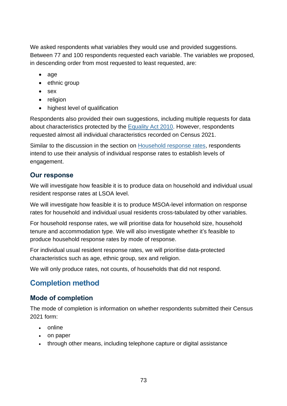We asked respondents what variables they would use and provided suggestions. Between 77 and 100 respondents requested each variable. The variables we proposed, in descending order from most requested to least requested, are:

- age
- ethnic group
- sex
- religion
- highest level of qualification

Respondents also provided their own suggestions, including multiple requests for data about characteristics protected by the [Equality Act 2010.](https://www.legislation.gov.uk/ukpga/2010/15/contents) However, respondents requested almost all individual characteristics recorded on Census 2021.

Similar to the discussion in the section on [Household response rates,](#page-70-0) respondents intend to use their analysis of individual response rates to establish levels of engagement.

### **Our response**

We will investigate how feasible it is to produce data on household and individual usual resident response rates at LSOA level.

We will investigate how feasible it is to produce MSOA-level information on response rates for household and individual usual residents cross-tabulated by other variables.

For household response rates, we will prioritise data for household size, household tenure and accommodation type. We will also investigate whether it's feasible to produce household response rates by mode of response.

For individual usual resident response rates, we will prioritise data-protected characteristics such as age, ethnic group, sex and religion.

We will only produce rates, not counts, of households that did not respond.

## **Completion method**

### **Mode of completion**

The mode of completion is information on whether respondents submitted their Census 2021 form:

- online
- on paper
- through other means, including telephone capture or digital assistance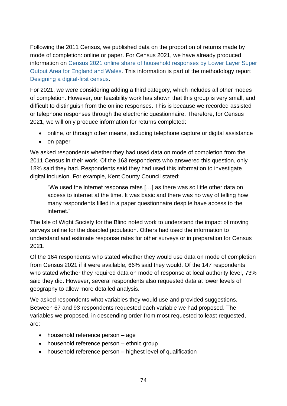Following the 2011 Census, we published data on the proportion of returns made by mode of completion: online or paper. For Census 2021, we have already produced information on [Census 2021 online share of household responses by Lower Layer Super](https://www.ons.gov.uk/peoplepopulationandcommunity/householdcharacteristics/homeinternetandsocialmediausage/datasets/census2021onlineshareofhouseholdresponsesbylowerlayersuperoutputareaforenglandandwales)  Output Area [for England and Wales.](https://www.ons.gov.uk/peoplepopulationandcommunity/householdcharacteristics/homeinternetandsocialmediausage/datasets/census2021onlineshareofhouseholdresponsesbylowerlayersuperoutputareaforenglandandwales) This information is part of the methodology report [Designing a digital-first census.](https://www.ons.gov.uk/peoplepopulationandcommunity/householdcharacteristics/homeinternetandsocialmediausage/articles/designingadigitalfirstcensus/2021-10-04)

For 2021, we were considering adding a third category, which includes all other modes of completion. However, our feasibility work has shown that this group is very small, and difficult to distinguish from the online responses. This is because we recorded assisted or telephone responses through the electronic questionnaire. Therefore, for Census 2021, we will only produce information for returns completed:

- online, or through other means, including telephone capture or digital assistance
- on paper

We asked respondents whether they had used data on mode of completion from the 2011 Census in their work. Of the 163 respondents who answered this question, only 18% said they had. Respondents said they had used this information to investigate digital inclusion. For example, Kent County Council stated:

"We used the internet response rates […] as there was so little other data on access to internet at the time. It was basic and there was no way of telling how many respondents filled in a paper questionnaire despite have access to the internet."

The Isle of Wight Society for the Blind noted work to understand the impact of moving surveys online for the disabled population. Others had used the information to understand and estimate response rates for other surveys or in preparation for Census 2021.

Of the 164 respondents who stated whether they would use data on mode of completion from Census 2021 if it were available, 66% said they would. Of the 147 respondents who stated whether they required data on mode of response at local authority level, 73% said they did. However, several respondents also requested data at lower levels of geography to allow more detailed analysis.

We asked respondents what variables they would use and provided suggestions. Between 67 and 93 respondents requested each variable we had proposed. The variables we proposed, in descending order from most requested to least requested, are:

- household reference person age
- household reference person ethnic group
- household reference person highest level of qualification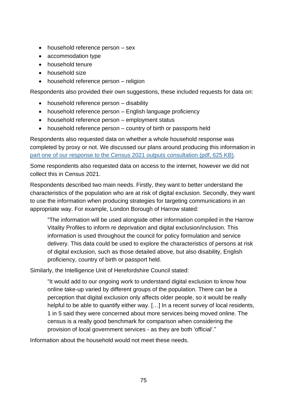- household reference person sex
- accommodation type
- household tenure
- household size
- household reference person religion

Respondents also provided their own suggestions, these included requests for data on:

- household reference person disability
- household reference person English language proficiency
- household reference person employment status
- household reference person country of birth or passports held

Respondents also requested data on whether a whole household response was completed by proxy or not. We discussed our plans around producing this information in [part one of our response to the Census 2021 outputs consultation \(pdf, 625 KB\).](https://consultations.ons.gov.uk/external-affairs/census-2021-outputs-consultation/results/census2021outputsconsultationresponse-partone.pdf)

Some respondents also requested data on access to the internet, however we did not collect this in Census 2021.

Respondents described two main needs. Firstly, they want to better understand the characteristics of the population who are at risk of digital exclusion. Secondly, they want to use the information when producing strategies for targeting communications in an appropriate way. For example, London Borough of Harrow stated:

"The information will be used alongside other information compiled in the Harrow Vitality Profiles to inform re deprivation and digital exclusion/inclusion. This information is used throughout the council for policy formulation and service delivery. This data could be used to explore the characteristics of persons at risk of digital exclusion, such as those detailed above, but also disability, English proficiency, country of birth or passport held.

Similarly, the Intelligence Unit of Herefordshire Council stated:

"It would add to our ongoing work to understand digital exclusion to know how online take-up varied by different groups of the population. There can be a perception that digital exclusion only affects older people, so it would be really helpful to be able to quantify either way. […] In a recent survey of local residents, 1 in 5 said they were concerned about more services being moved online. The census is a really good benchmark for comparison when considering the provision of local government services - as they are both 'official'."

Information about the household would not meet these needs.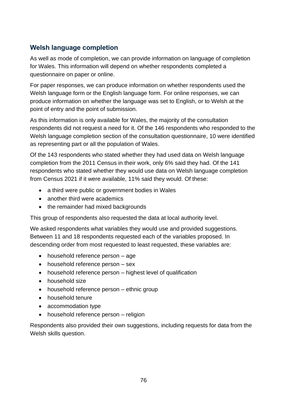## **Welsh language completion**

As well as mode of completion, we can provide information on language of completion for Wales. This information will depend on whether respondents completed a questionnaire on paper or online.

For paper responses, we can produce information on whether respondents used the Welsh language form or the English language form. For online responses, we can produce information on whether the language was set to English, or to Welsh at the point of entry and the point of submission.

As this information is only available for Wales, the majority of the consultation respondents did not request a need for it. Of the 146 respondents who responded to the Welsh language completion section of the consultation questionnaire, 10 were identified as representing part or all the population of Wales.

Of the 143 respondents who stated whether they had used data on Welsh language completion from the 2011 Census in their work, only 6% said they had. Of the 141 respondents who stated whether they would use data on Welsh language completion from Census 2021 if it were available, 11% said they would. Of these:

- a third were public or government bodies in Wales
- another third were academics
- the remainder had mixed backgrounds

This group of respondents also requested the data at local authority level.

We asked respondents what variables they would use and provided suggestions. Between 11 and 18 respondents requested each of the variables proposed. In descending order from most requested to least requested, these variables are:

- household reference person age
- household reference person sex
- household reference person highest level of qualification
- household size
- household reference person ethnic group
- household tenure
- accommodation type
- household reference person religion

Respondents also provided their own suggestions, including requests for data from the Welsh skills question.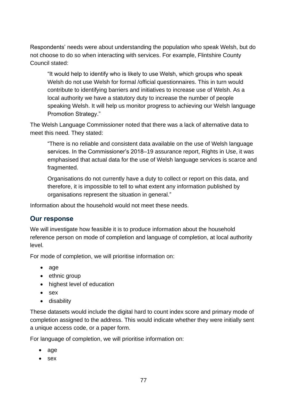Respondents' needs were about understanding the population who speak Welsh, but do not choose to do so when interacting with services. For example, Flintshire County Council stated:

"It would help to identify who is likely to use Welsh, which groups who speak Welsh do not use Welsh for formal /official questionnaires. This in turn would contribute to identifying barriers and initiatives to increase use of Welsh. As a local authority we have a statutory duty to increase the number of people speaking Welsh. It will help us monitor progress to achieving our Welsh language Promotion Strategy."

The Welsh Language Commissioner noted that there was a lack of alternative data to meet this need. They stated:

"There is no reliable and consistent data available on the use of Welsh language services. In the Commissioner's 2018–19 assurance report, Rights in Use, it was emphasised that actual data for the use of Welsh language services is scarce and fragmented.

Organisations do not currently have a duty to collect or report on this data, and therefore, it is impossible to tell to what extent any information published by organisations represent the situation in general."

Information about the household would not meet these needs.

#### **Our response**

We will investigate how feasible it is to produce information about the household reference person on mode of completion and language of completion, at local authority level.

For mode of completion, we will prioritise information on:

- age
- ethnic group
- highest level of education
- sex
- disability

These datasets would include the digital hard to count index score and primary mode of completion assigned to the address. This would indicate whether they were initially sent a unique access code, or a paper form.

For language of completion, we will prioritise information on:

- age
- sex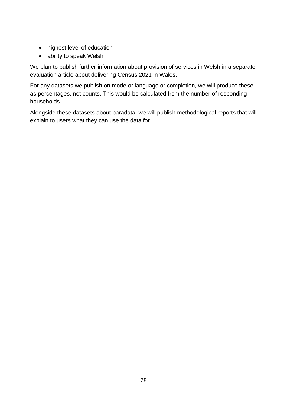- highest level of education
- ability to speak Welsh

We plan to publish further information about provision of services in Welsh in a separate evaluation article about delivering Census 2021 in Wales.

For any datasets we publish on mode or language or completion, we will produce these as percentages, not counts. This would be calculated from the number of responding households.

Alongside these datasets about paradata, we will publish methodological reports that will explain to users what they can use the data for.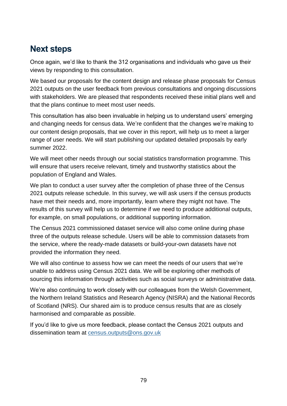# **Next steps**

Once again, we'd like to thank the 312 organisations and individuals who gave us their views by responding to this consultation.

We based our proposals for the content design and release phase proposals for Census 2021 outputs on the user feedback from previous consultations and ongoing discussions with stakeholders. We are pleased that respondents received these initial plans well and that the plans continue to meet most user needs.

This consultation has also been invaluable in helping us to understand users' emerging and changing needs for census data. We're confident that the changes we're making to our content design proposals, that we cover in this report, will help us to meet a larger range of user needs. We will start publishing our updated detailed proposals by early summer 2022.

We will meet other needs through our social statistics transformation programme. This will ensure that users receive relevant, timely and trustworthy statistics about the population of England and Wales.

We plan to conduct a user survey after the completion of phase three of the Census 2021 outputs release schedule. In this survey, we will ask users if the census products have met their needs and, more importantly, learn where they might not have. The results of this survey will help us to determine if we need to produce additional outputs, for example, on small populations, or additional supporting information.

The Census 2021 commissioned dataset service will also come online during phase three of the outputs release schedule. Users will be able to commission datasets from the service, where the ready-made datasets or build-your-own datasets have not provided the information they need.

We will also continue to assess how we can meet the needs of our users that we're unable to address using Census 2021 data. We will be exploring other methods of sourcing this information through activities such as social surveys or administrative data.

We're also continuing to work closely with our colleagues from the Welsh Government, the Northern Ireland Statistics and Research Agency (NISRA) and the National Records of Scotland (NRS). Our shared aim is to produce census results that are as closely harmonised and comparable as possible.

If you'd like to give us more feedback, please contact the Census 2021 outputs and dissemination team at [census.outputs@ons.gov.uk](mailto:census.outputs@ons.gov.uk)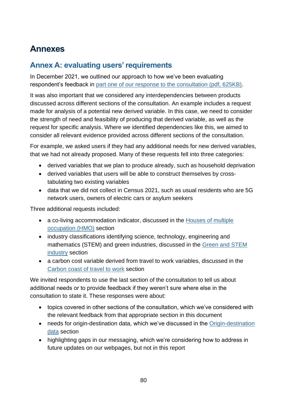# **Annexes**

## **Annex A: evaluating users'requirements**

In December 2021, we outlined our approach to how we've been evaluating respondent's feedback in [part one of our response to the consultation \(pdf, 625KB\).](https://consultations.ons.gov.uk/external-affairs/census-2021-outputs-consultation/results/census2021outputsconsultationresponse-partone.pdf)

It was also important that we considered any interdependencies between products discussed across different sections of the consultation. An example includes a request made for analysis of a potential new derived variable. In this case, we need to consider the strength of need and feasibility of producing that derived variable, as well as the request for specific analysis. Where we identified dependencies like this, we aimed to consider all relevant evidence provided across different sections of the consultation.

For example, we asked users if they had any additional needs for new derived variables, that we had not already proposed. Many of these requests fell into three categories:

- derived variables that we plan to produce already, such as household deprivation
- derived variables that users will be able to construct themselves by crosstabulating two existing variables
- data that we did not collect in Census 2021, such as usual residents who are 5G network users, owners of electric cars or asylum seekers

Three additional requests included:

- a co-living accommodation indicator, discussed in the [Houses of multiple](#page-29-0)  [occupation \(HMO\)](#page-29-0) section
- industry classifications identifying science, technology, engineering and mathematics (STEM) and green industries, discussed in the [Green and STEM](#page-26-0)  [industry](#page-26-0) section
- a carbon cost variable derived from travel to work variables, discussed in the [Carbon coast of](#page-27-0) travel to work section

We invited respondents to use the last section of the consultation to tell us about additional needs or to provide feedback if they weren't sure where else in the consultation to state it. These responses were about:

- topics covered in other sections of the consultation, which we've considered with the relevant feedback from that appropriate section in this document
- needs for origin-destination data, which we've discussed in the Origin-destination [data](#page-48-0) section
- highlighting gaps in our messaging, which we're considering how to address in future updates on our webpages, but not in this report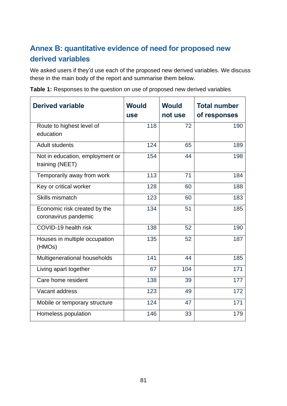# **Annex B: quantitative evidence of need for proposed new derived variables**

We asked users if they'd use each of the proposed new derived variables. We discuss these in the main body of the report and summarise them below.

| <b>Derived variable</b>                              | <b>Would</b><br><b>use</b> | <b>Would</b><br>not use | <b>Total number</b><br>of responses |
|------------------------------------------------------|----------------------------|-------------------------|-------------------------------------|
| Route to highest level of<br>education               | 118                        | 72                      | 190                                 |
| <b>Adult students</b>                                | 124                        | 65                      | 189                                 |
| Not in education, employment or<br>training (NEET)   | 154                        | 44                      | 198                                 |
| Temporarily away from work                           | 113                        | 71                      | 184                                 |
| Key or critical worker                               | 128                        | 60                      | 188                                 |
| Skills mismatch                                      | 123                        | 60                      | 183                                 |
| Economic risk created by the<br>coronavirus pandemic | 134                        | 51                      | 185                                 |
| COVID-19 health risk                                 | 138                        | 52                      | 190                                 |
| Houses in multiple occupation<br>(HMOs)              | 135                        | 52                      | 187                                 |
| Multigenerational households                         | 141                        | 44                      | 185                                 |
| Living apart together                                | 67                         | 104                     | 171                                 |
| Care home resident                                   | 138                        | 39                      | 177                                 |
| Vacant address                                       | 123                        | 49                      | 172                                 |
| Mobile or temporary structure                        | 124                        | 47                      | 171                                 |
| Homeless population                                  | 146                        | 33                      | 179                                 |

**Table 1:** Responses to the question on use of proposed new derived variables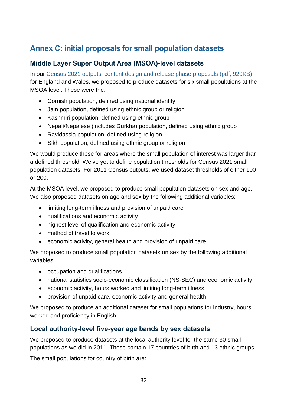# **Annex C: initial proposals for small population datasets**

## **Middle Layer Super Output Area (MSOA)-level datasets**

In our [Census 2021 outputs: content design and release phase proposals](https://consultations.ons.gov.uk/external-affairs/census-2021-outputs-consultation/supporting_documents/Consultation%20document%20%20Census%202021%20outputs%20design%20and%20release%20phase%20proposals.pdf) (pdf, 929KB) for England and Wales, we proposed to produce datasets for six small populations at the MSOA level. These were the:

- Cornish population, defined using national identity
- Jain population, defined using ethnic group or religion
- Kashmiri population, defined using ethnic group
- Nepali/Nepalese (includes Gurkha) population, defined using ethnic group
- Ravidassia population, defined using religion
- Sikh population, defined using ethnic group or religion

We would produce these for areas where the small population of interest was larger than a defined threshold. We've yet to define population thresholds for Census 2021 small population datasets. For 2011 Census outputs, we used dataset thresholds of either 100 or 200.

At the MSOA level, we proposed to produce small population datasets on sex and age. We also proposed datasets on age and sex by the following additional variables:

- limiting long-term illness and provision of unpaid care
- qualifications and economic activity
- highest level of qualification and economic activity
- method of travel to work
- economic activity, general health and provision of unpaid care

We proposed to produce small population datasets on sex by the following additional variables:

- occupation and qualifications
- national statistics socio-economic classification (NS-SEC) and economic activity
- economic activity, hours worked and limiting long-term illness
- provision of unpaid care, economic activity and general health

We proposed to produce an additional dataset for small populations for industry, hours worked and proficiency in English.

### **Local authority-level five-year age bands by sex datasets**

We proposed to produce datasets at the local authority level for the same 30 small populations as we did in 2011. These contain 17 countries of birth and 13 ethnic groups.

The small populations for country of birth are: